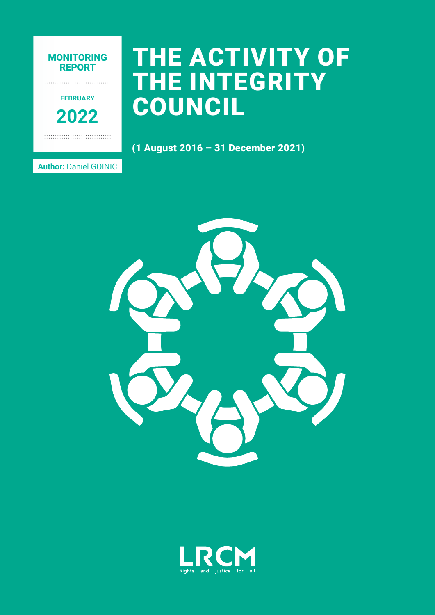# MONITORING REPORT

**FEBRUARY 2022**

**Author:** Daniel GOINIC

# THE ACTIVITY OF THE INTEGRITY COUNCIL

(1 August 2016 – 31 December 2021)



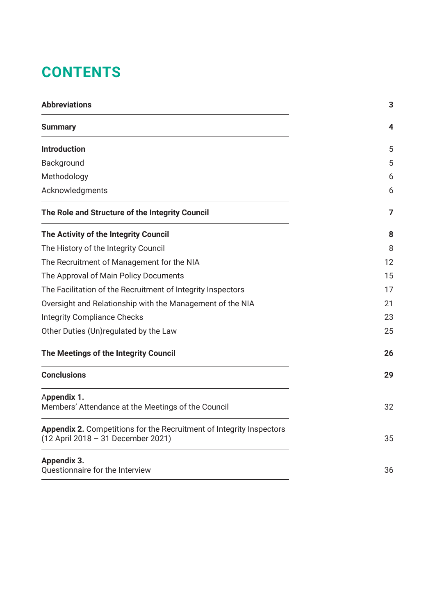# **CONTENTS**

| <b>Abbreviations</b>                                                                                              | 3  |
|-------------------------------------------------------------------------------------------------------------------|----|
| <b>Summary</b>                                                                                                    | 4  |
| <b>Introduction</b>                                                                                               | 5  |
| Background                                                                                                        | 5  |
| Methodology                                                                                                       | 6  |
| Acknowledgments                                                                                                   | 6  |
| The Role and Structure of the Integrity Council                                                                   | 7  |
| The Activity of the Integrity Council                                                                             | 8  |
| The History of the Integrity Council                                                                              | 8  |
| The Recruitment of Management for the NIA                                                                         | 12 |
| The Approval of Main Policy Documents                                                                             | 15 |
| The Facilitation of the Recruitment of Integrity Inspectors                                                       | 17 |
| Oversight and Relationship with the Management of the NIA                                                         | 21 |
| <b>Integrity Compliance Checks</b>                                                                                | 23 |
| Other Duties (Un)regulated by the Law                                                                             | 25 |
| The Meetings of the Integrity Council                                                                             | 26 |
| <b>Conclusions</b>                                                                                                | 29 |
| Appendix 1.<br>Members' Attendance at the Meetings of the Council                                                 | 32 |
| <b>Appendix 2.</b> Competitions for the Recruitment of Integrity Inspectors<br>(12 April 2018 - 31 December 2021) | 35 |
| Appendix 3.<br>Questionnaire for the Interview                                                                    | 36 |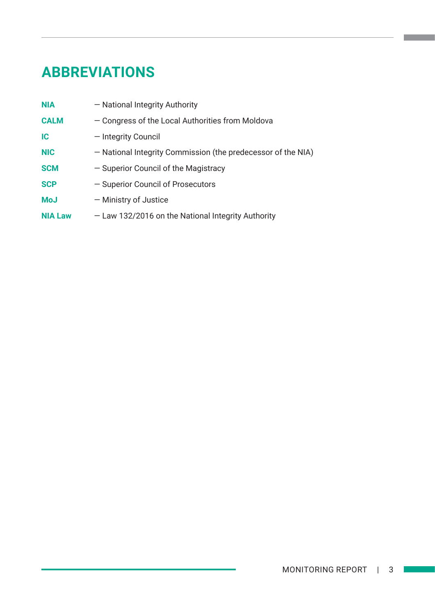# <span id="page-2-0"></span>**ABBREVIATIONS**

| <b>NIA</b>     | - National Integrity Authority                               |
|----------------|--------------------------------------------------------------|
| <b>CALM</b>    | - Congress of the Local Authorities from Moldova             |
| <b>IC</b>      | - Integrity Council                                          |
| <b>NIC</b>     | - National Integrity Commission (the predecessor of the NIA) |
| <b>SCM</b>     | - Superior Council of the Magistracy                         |
| <b>SCP</b>     | - Superior Council of Prosecutors                            |
| <b>MoJ</b>     | - Ministry of Justice                                        |
| <b>NIA Law</b> | $-$ Law 132/2016 on the National Integrity Authority         |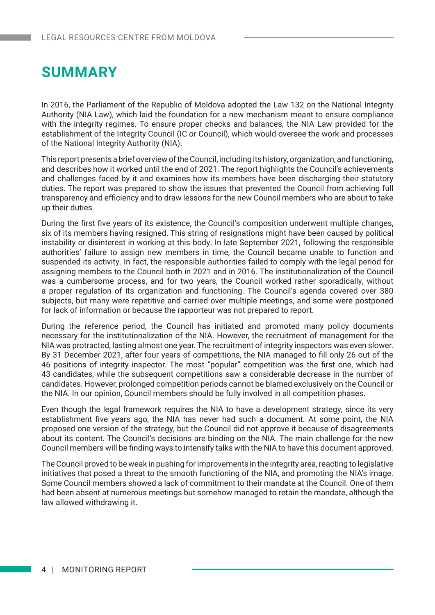# <span id="page-3-0"></span>**SUMMARY**

In 2016, the Parliament of the Republic of Moldova adopted the Law 132 on the National Integrity Authority (NIA Law), which laid the foundation for a new mechanism meant to ensure compliance with the integrity regimes. To ensure proper checks and balances, the NIA Law provided for the establishment of the Integrity Council (IC or Council), which would oversee the work and processes of the National Integrity Authority (NIA).

This report presents a brief overview of the Council, including its history, organization, and functioning, and describes how it worked until the end of 2021. The report highlights the Council's achievements and challenges faced by it and examines how its members have been discharging their statutory duties. The report was prepared to show the issues that prevented the Council from achieving full transparency and efficiency and to draw lessons for the new Council members who are about to take up their duties.

During the first five years of its existence, the Council's composition underwent multiple changes, six of its members having resigned. This string of resignations might have been caused by political instability or disinterest in working at this body. In late September 2021, following the responsible authorities' failure to assign new members in time, the Council became unable to function and suspended its activity. In fact, the responsible authorities failed to comply with the legal period for assigning members to the Council both in 2021 and in 2016. The institutionalization of the Council was a cumbersome process, and for two years, the Council worked rather sporadically, without a proper regulation of its organization and functioning. The Council's agenda covered over 380 subjects, but many were repetitive and carried over multiple meetings, and some were postponed for lack of information or because the rapporteur was not prepared to report.

During the reference period, the Council has initiated and promoted many policy documents necessary for the institutionalization of the NIA. However, the recruitment of management for the NIA was protracted, lasting almost one year. The recruitment of integrity inspectors was even slower. By 31 December 2021, after four years of competitions, the NIA managed to fill only 26 out of the 46 positions of integrity inspector. The most "popular" competition was the first one, which had 43 candidates, while the subsequent competitions saw a considerable decrease in the number of candidates. However, prolonged competition periods cannot be blamed exclusively on the Council or the NIA. In our opinion, Council members should be fully involved in all competition phases.

Even though the legal framework requires the NIA to have a development strategy, since its very establishment five years ago, the NIA has never had such a document. At some point, the NIA proposed one version of the strategy, but the Council did not approve it because of disagreements about its content. The Council's decisions are binding on the NIA. The main challenge for the new Council members will be finding ways to intensify talks with the NIA to have this document approved.

The Council proved to be weak in pushing for improvements in the integrity area, reacting to legislative initiatives that posed a threat to the smooth functioning of the NIA, and promoting the NIA's image. Some Council members showed a lack of commitment to their mandate at the Council. One of them had been absent at numerous meetings but somehow managed to retain the mandate, although the law allowed withdrawing it.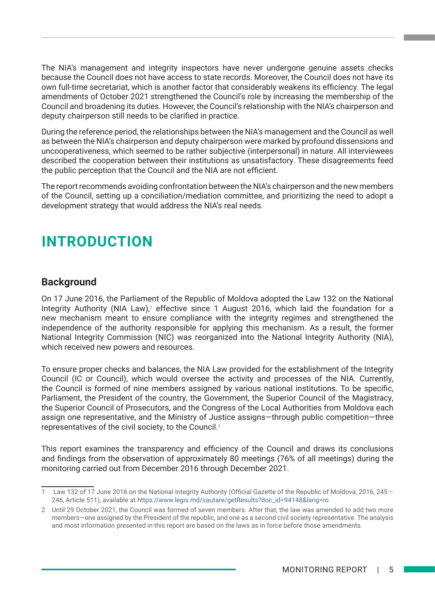<span id="page-4-0"></span>The NIA's management and integrity inspectors have never undergone genuine assets checks because the Council does not have access to state records. Moreover, the Council does not have its own full-time secretariat, which is another factor that considerably weakens its efficiency. The legal amendments of October 2021 strengthened the Council's role by increasing the membership of the Council and broadening its duties. However, the Council's relationship with the NIA's chairperson and deputy chairperson still needs to be clarified in practice.

During the reference period, the relationships between the NIA's management and the Council as well as between the NIA's chairperson and deputy chairperson were marked by profound dissensions and uncooperativeness, which seemed to be rather subjective (interpersonal) in nature. All interviewees described the cooperation between their institutions as unsatisfactory. These disagreements feed the public perception that the Council and the NIA are not efficient.

The report recommends avoiding confrontation between the NIA's chairperson and the new members of the Council, setting up a conciliation/mediation committee, and prioritizing the need to adopt a development strategy that would address the NIA's real needs.

# **INTRODUCTION**

# **Background**

On 17 June 2016, the Parliament of the Republic of Moldova adopted the Law 132 on the National Integrity Authority (NIA Law),<sup>1</sup> effective since 1 August 2016, which laid the foundation for a new mechanism meant to ensure compliance with the integrity regimes and strengthened the independence of the authority responsible for applying this mechanism. As a result, the former National Integrity Commission (NIC) was reorganized into the National Integrity Authority (NIA), which received new powers and resources.

To ensure proper checks and balances, the NIA Law provided for the establishment of the Integrity Council (IC or Council), which would oversee the activity and processes of the NIA. Currently, the Council is formed of nine members assigned by various national institutions. To be specific, Parliament, the President of the country, the Government, the Superior Council of the Magistracy, the Superior Council of Prosecutors, and the Congress of the Local Authorities from Moldova each assign one representative, and the Ministry of Justice assigns—through public competition—three representatives of the civil society, to the Council.2

This report examines the transparency and efficiency of the Council and draws its conclusions and findings from the observation of approximately 80 meetings (76% of all meetings) during the monitoring carried out from December 2016 through December 2021.

<sup>1</sup> Law 132 of 17 June 2016 on the National Integrity Authority (Official Gazette of the Republic of Moldova, 2016, 245 – 246, Article 511), available at [https://www.legis.md/cautare/getResults?doc\\_id=94148&lang=ro](https://www.legis.md/cautare/getResults?doc_id=94148&lang=ro)

<sup>2</sup> Until 29 October 2021, the Council was formed of seven members. After that, the law was amended to add two more members—one assigned by the President of the republic, and one as a second civil society representative. The analysis and most information presented in this report are based on the laws as in force before those amendments.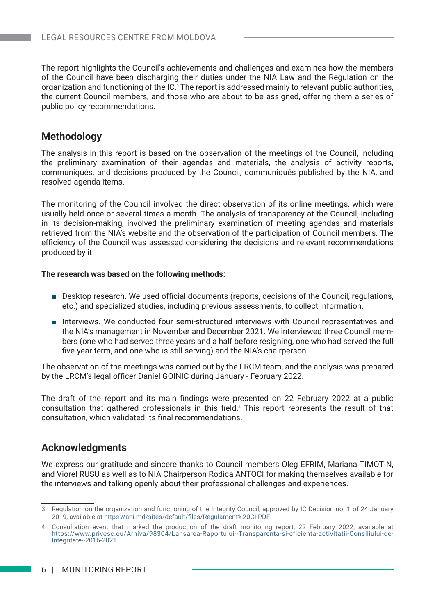<span id="page-5-0"></span>The report highlights the Council's achievements and challenges and examines how the members of the Council have been discharging their duties under the NIA Law and the Regulation on the organization and functioning of the IC.<sup>3</sup> The report is addressed mainly to relevant public authorities, the current Council members, and those who are about to be assigned, offering them a series of public policy recommendations.

# **Methodology**

The analysis in this report is based on the observation of the meetings of the Council, including the preliminary examination of their agendas and materials, the analysis of activity reports, communiqués, and decisions produced by the Council, communiqués published by the NIA, and resolved agenda items.

The monitoring of the Council involved the direct observation of its online meetings, which were usually held once or several times a month. The analysis of transparency at the Council, including in its decision-making, involved the preliminary examination of meeting agendas and materials retrieved from the NIA's website and the observation of the participation of Council members. The efficiency of the Council was assessed considering the decisions and relevant recommendations produced by it.

### **The research was based on the following methods:**

- Desktop research. We used official documents (reports, decisions of the Council, regulations, etc.) and specialized studies, including previous assessments, to collect information.
- Interviews. We conducted four semi-structured interviews with Council representatives and the NIA's management in November and December 2021. We interviewed three Council members (one who had served three years and a half before resigning, one who had served the full five-year term, and one who is still serving) and the NIA's chairperson.

The observation of the meetings was carried out by the LRCM team, and the analysis was prepared by the LRCM's legal officer Daniel GOINIC during January - February 2022.

The draft of the report and its main findings were presented on 22 February 2022 at a public consultation that gathered professionals in this field.<sup>4</sup> This report represents the result of that consultation, which validated its final recommendations.

# **Acknowledgments**

We express our gratitude and sincere thanks to Council members Oleg EFRIM, Mariana TIMOTIN, and Viorel RUSU as well as to NIA Chairperson Rodica ANTOCI for making themselves available for the interviews and talking openly about their professional challenges and experiences.

<sup>3</sup> Regulation on the organization and functioning of the Integrity Council, approved by IC Decision no. 1 of 24 January 2019, available at <https://ani.md/sites/default/files/Regulament%20CI.PDF>

<sup>4</sup> Consultation event that marked the production of the draft monitoring report, 22 February 2022, available at [https://www.privesc.eu/Arhiva/98304/Lansarea-Raportului--Transparenta-si-eficienta-activitatii-Consiliului-de-](https://www.privesc.eu/Arhiva/98304/Lansarea-Raportului--Transparenta-si-eficienta-activitatii-Consiliului-de-Integritate--2016-2021)[Integritate--2016-2021](https://www.privesc.eu/Arhiva/98304/Lansarea-Raportului--Transparenta-si-eficienta-activitatii-Consiliului-de-Integritate--2016-2021)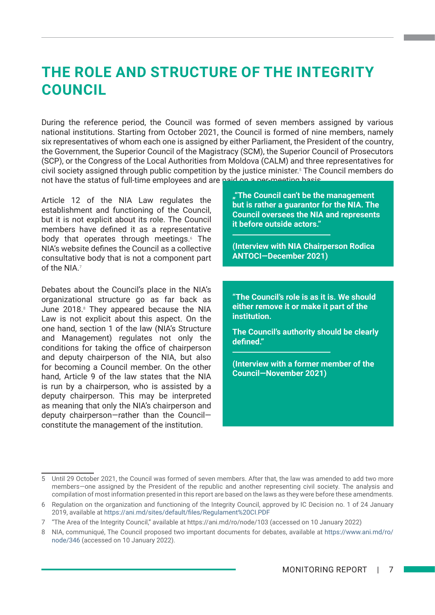# <span id="page-6-0"></span>**THE ROLE AND STRUCTURE OF THE INTEGRITY COUNCIL**

During the reference period, the Council was formed of seven members assigned by various national institutions. Starting from October 2021, the Council is formed of nine members, namely six representatives of whom each one is assigned by either Parliament, the President of the country, the Government, the Superior Council of the Magistracy (SCM), the Superior Council of Prosecutors (SCP), or the Congress of the Local Authorities from Moldova (CALM) and three representatives for civil society assigned through public competition by the justice minister.5 The Council members do not have the status of full-time employees and are paid on a per-meeting basis.

Article 12 of the NIA Law regulates the establishment and functioning of the Council, but it is not explicit about its role. The Council members have defined it as a representative body that operates through meetings.<sup>6</sup> The NIA's website defines the Council as a collective consultative body that is not a component part of the NIA.7

Debates about the Council's place in the NIA's organizational structure go as far back as June 2018.<sup>8</sup> They appeared because the NIA Law is not explicit about this aspect. On the one hand, section 1 of the law (NIA's Structure and Management) regulates not only the conditions for taking the office of chairperson and deputy chairperson of the NIA, but also for becoming a Council member. On the other hand, Article 9 of the law states that the NIA is run by a chairperson, who is assisted by a deputy chairperson. This may be interpreted as meaning that only the NIA's chairperson and deputy chairperson—rather than the Council constitute the management of the institution.

**""The Council can't be the management but is rather a guarantor for the NIA. The Council oversees the NIA and represents it before outside actors."**

**(Interview with NIA Chairperson Rodica ANTOCI—December 2021)**

**"The Council's role is as it is. We should either remove it or make it part of the institution.** 

**The Council's authority should be clearly defined."**

**(Interview with a former member of the Council—November 2021)**

<sup>5</sup> Until 29 October 2021, the Council was formed of seven members. After that, the law was amended to add two more members—one assigned by the President of the republic and another representing civil society. The analysis and compilation of most information presented in this report are based on the laws as they were before these amendments.

<sup>6</sup> Regulation on the organization and functioning of the Integrity Council, approved by IC Decision no. 1 of 24 January 2019, available at <https://ani.md/sites/default/files/Regulament%20CI.PDF>

<sup>7</sup> "The Area of the Integrity Council," available at https://ani.md/ro/node/103 (accessed on 10 January 2022)

<sup>8</sup> NIA, communiqué, The Council proposed two important documents for debates, available at [https://www.ani.md/ro/](https://www.ani.md/ro/node/346) [node/346](https://www.ani.md/ro/node/346) (accessed on 10 January 2022).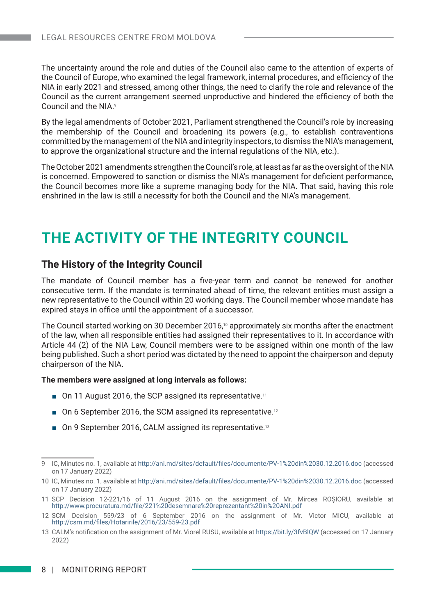<span id="page-7-0"></span>The uncertainty around the role and duties of the Council also came to the attention of experts of the Council of Europe, who examined the legal framework, internal procedures, and efficiency of the NIA in early 2021 and stressed, among other things, the need to clarify the role and relevance of the Council as the current arrangement seemed unproductive and hindered the efficiency of both the Council and the NIA.9

By the legal amendments of October 2021, Parliament strengthened the Council's role by increasing the membership of the Council and broadening its powers (e.g., to establish contraventions committed by the management of the NIA and integrity inspectors, to dismiss the NIA's management, to approve the organizational structure and the internal regulations of the NIA, etc.).

The October 2021 amendments strengthen the Council's role, at least as far as the oversight of the NIA is concerned. Empowered to sanction or dismiss the NIA's management for deficient performance, the Council becomes more like a supreme managing body for the NIA. That said, having this role enshrined in the law is still a necessity for both the Council and the NIA's management.

# **THE ACTIVITY OF THE INTEGRITY COUNCIL**

# **The History of the Integrity Council**

The mandate of Council member has a five-year term and cannot be renewed for another consecutive term. If the mandate is terminated ahead of time, the relevant entities must assign a new representative to the Council within 20 working days. The Council member whose mandate has expired stays in office until the appointment of a successor.

The Council started working on 30 December 2016,<sup>10</sup> approximately six months after the enactment of the law, when all responsible entities had assigned their representatives to it. In accordance with Article 44 (2) of the NIA Law, Council members were to be assigned within one month of the law being published. Such a short period was dictated by the need to appoint the chairperson and deputy chairperson of the NIA.

#### **The members were assigned at long intervals as follows:**

- On 11 August 2016, the SCP assigned its representative.<sup>11</sup>
- On 6 September 2016, the SCM assigned its representative.<sup>12</sup>
- On 9 September 2016, CALM assigned its representative.<sup>13</sup>

<sup>9</sup> IC, Minutes no. 1, available at <http://ani.md/sites/default/files/documente/PV-1%20din%2030.12.2016.doc> (accessed on 17 January 2022)

<sup>10</sup> IC, Minutes no. 1, available at <http://ani.md/sites/default/files/documente/PV-1%20din%2030.12.2016.doc> (accessed on 17 January 2022)

<sup>11</sup> SCP Decision 12-221/16 of 11 August 2016 on the assignment of Mr. Mircea ROȘIORU, available at <http://www.procuratura.md/file/221%20desemnare%20reprezentant%20in%20ANI.pdf>

<sup>12</sup> SCM Decision 559/23 of 6 September 2016 on the assignment of Mr. Victor MICU, available at <http://csm.md/files/Hotaririle/2016/23/559-23.pdf>

<sup>13</sup> CALM's notification on the assignment of Mr. Viorel RUSU, available at <https://bit.ly/3fvBlQW>(accessed on 17 January 2022)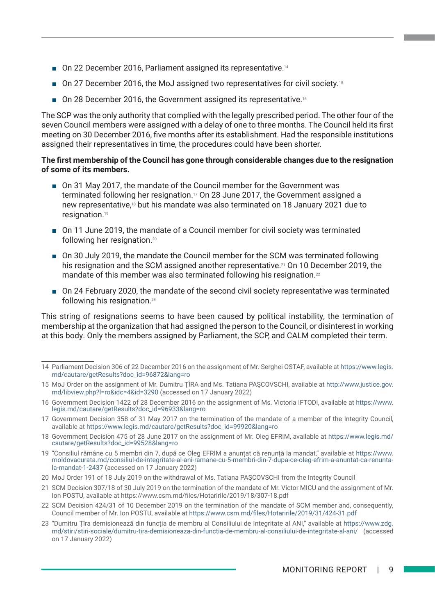- On 22 December 2016, Parliament assigned its representative.<sup>14</sup>
- On 27 December 2016, the MoJ assigned two representatives for civil society.<sup>15</sup>
- On 28 December 2016, the Government assigned its representative.<sup>16</sup>

The SCP was the only authority that complied with the legally prescribed period. The other four of the seven Council members were assigned with a delay of one to three months. The Council held its first meeting on 30 December 2016, five months after its establishment. Had the responsible institutions assigned their representatives in time, the procedures could have been shorter.

### **The first membership of the Council has gone through considerable changes due to the resignation of some of its members.**

- On 31 May 2017, the mandate of the Council member for the Government was terminated following her resignation.<sup>17</sup> On 28 June 2017, the Government assigned a new representative,18 but his mandate was also terminated on 18 January 2021 due to resignation.19
- On 11 June 2019, the mandate of a Council member for civil society was terminated following her resignation.20
- On 30 July 2019, the mandate the Council member for the SCM was terminated following his resignation and the SCM assigned another representative.<sup>21</sup> On 10 December 2019, the mandate of this member was also terminated following his resignation.<sup>22</sup>
- On 24 February 2020, the mandate of the second civil society representative was terminated following his resignation.23

This string of resignations seems to have been caused by political instability, the termination of membership at the organization that had assigned the person to the Council, or disinterest in working at this body. Only the members assigned by Parliament, the SCP, and CALM completed their term.

<sup>14</sup> Parliament Decision 306 of 22 December 2016 on the assignment of Mr. Serghei OSTAF, available at [https://www.legis.](https://www.legis.md/cautare/getResults?doc_id=96872&lang=ro) [md/cautare/getResults?doc\\_id=96872&lang=ro](https://www.legis.md/cautare/getResults?doc_id=96872&lang=ro)

<sup>15</sup> MoJ Order on the assignment of Mr. Dumitru ŢÎRA and Ms. Tatiana PAŞCOVSCHI, available at [http://www.justice.gov.](http://www.justice.gov.md/libview.php?l=ro&idc=4&id=3290) [md/libview.php?l=ro&idc=4&id=3290](http://www.justice.gov.md/libview.php?l=ro&idc=4&id=3290) (accessed on 17 January 2022)

<sup>16</sup> Government Decision 1422 of 28 December 2016 on the assignment of Ms. Victoria IFTODI, available at [https://www.](https://www.legis.md/cautare/getResults?doc_id=96933&lang=ro) [legis.md/cautare/getResults?doc\\_id=96933&lang=ro](https://www.legis.md/cautare/getResults?doc_id=96933&lang=ro)

<sup>17</sup> Government Decision 358 of 31 May 2017 on the termination of the mandate of a member of the Integrity Council, available at [https://www.legis.md/cautare/getResults?doc\\_id=99920&lang=ro](https://www.legis.md/cautare/getResults?doc_id=99920&lang=ro)

<sup>18</sup> Government Decision 475 of 28 June 2017 on the assignment of Mr. Oleg EFRIM, available at [https://www.legis.md/](https://www.legis.md/cautare/getResults?doc_id=99528&lang=ro) [cautare/getResults?doc\\_id=99528&lang=ro](https://www.legis.md/cautare/getResults?doc_id=99528&lang=ro)

<sup>19</sup> "Consiliul rămâne cu 5 membri din 7, după ce Oleg EFRIM a anunțat că renunță la mandat," available at [https://www.](https://www.moldovacurata.md/consiliul-de-integritate-al-ani-ramane-cu-5-membri-din-7-dupa-ce-oleg-efrim-a-anuntat-ca-renunta-la-mandat-1-2437) [moldovacurata.md/consiliul-de-integritate-al-ani-ramane-cu-5-membri-din-7-dupa-ce-oleg-efrim-a-anuntat-ca-renunta](https://www.moldovacurata.md/consiliul-de-integritate-al-ani-ramane-cu-5-membri-din-7-dupa-ce-oleg-efrim-a-anuntat-ca-renunta-la-mandat-1-2437)[la-mandat-1-2437](https://www.moldovacurata.md/consiliul-de-integritate-al-ani-ramane-cu-5-membri-din-7-dupa-ce-oleg-efrim-a-anuntat-ca-renunta-la-mandat-1-2437) (accessed on 17 January 2022)

<sup>20</sup> MoJ Order 191 of 18 July 2019 on the withdrawal of Ms. Tatiana PAȘCOVSCHI from the Integrity Council

<sup>21</sup> SCM Decision 307/18 of 30 July 2019 on the termination of the mandate of Mr. Victor MICU and the assignment of Mr. Ion POSTU, available at https://www.csm.md/files/Hotaririle/2019/18/307-18.pdf

<sup>22</sup> SCM Decision 424/31 of 10 December 2019 on the termination of the mandate of SCM member and, consequently, Council member of Mr. Ion POSTU, available at <https://www.csm.md/files/Hotaririle/2019/31/424-31.pdf>

<sup>23</sup> "Dumitru Țîra demisionează din funcția de membru al Consiliului de Integritate al ANI," available at [https://www.zdg.](https://www.zdg.md/stiri/stiri-sociale/dumitru-tira-demisioneaza-din-functia-de-membru-al-consiliului-de-integritate-al-ani/) [md/stiri/stiri-sociale/dumitru-tira-demisioneaza-din-functia-de-membru-al-consiliului-de-integritate-al-ani/](https://www.zdg.md/stiri/stiri-sociale/dumitru-tira-demisioneaza-din-functia-de-membru-al-consiliului-de-integritate-al-ani/) (accessed on 17 January 2022)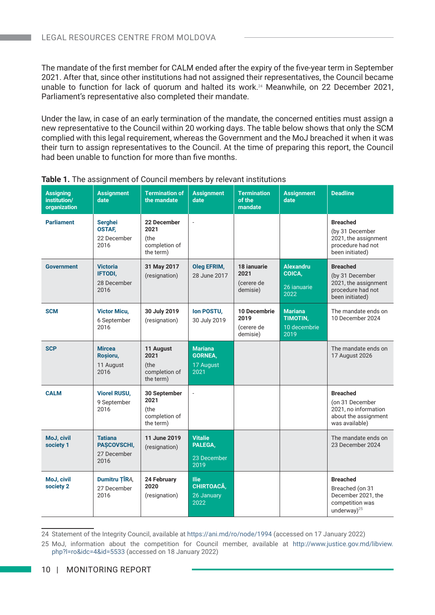The mandate of the first member for CALM ended after the expiry of the five-year term in September 2021. After that, since other institutions had not assigned their representatives, the Council became unable to function for lack of quorum and halted its work.24 Meanwhile, on 22 December 2021, Parliament's representative also completed their mandate.

Under the law, in case of an early termination of the mandate, the concerned entities must assign a new representative to the Council within 20 working days. The table below shows that only the SCM complied with this legal requirement, whereas the Government and the MoJ breached it when it was their turn to assign representatives to the Council. At the time of preparing this report, the Council had been unable to function for more than five months.

| <b>Assigning</b><br>institution/<br>organization | <b>Assignment</b><br>date                                | <b>Termination of</b><br>the mandate                       | <b>Assignment</b><br>date                             | <b>Termination</b><br>of the<br>mandate        | <b>Assignment</b><br>date                                 | <b>Deadline</b>                                                                                      |
|--------------------------------------------------|----------------------------------------------------------|------------------------------------------------------------|-------------------------------------------------------|------------------------------------------------|-----------------------------------------------------------|------------------------------------------------------------------------------------------------------|
| <b>Parliament</b>                                | <b>Serghei</b><br><b>OSTAF,</b><br>22 December<br>2016   | 22 December<br>2021<br>(the<br>completion of<br>the term)  | $\frac{1}{2}$                                         |                                                |                                                           | <b>Breached</b><br>(by 31 December<br>2021, the assignment<br>procedure had not<br>been initiated)   |
| <b>Government</b>                                | <b>Victoria</b><br><b>IFTODI,</b><br>28 December<br>2016 | 31 May 2017<br>(resignation)                               | Oleg EFRIM,<br>28 June 2017                           | 18 ianuarie<br>2021<br>(cerere de<br>demisie)  | <b>Alexandru</b><br>COICA,<br>26 januarie<br>2022         | <b>Breached</b><br>(by 31 December<br>2021, the assignment<br>procedure had not<br>been initiated)   |
| <b>SCM</b>                                       | <b>Victor Micu,</b><br>6 September<br>2016               | 30 July 2019<br>(resignation)                              | Ion POSTU,<br>30 July 2019                            | 10 Decembrie<br>2019<br>(cerere de<br>demisie) | <b>Mariana</b><br><b>TIMOTIN,</b><br>10 decembrie<br>2019 | The mandate ends on<br>10 December 2024                                                              |
| <b>SCP</b>                                       | <b>Mircea</b><br>Roșioru,<br>11 August<br>2016           | 11 August<br>2021<br>(the<br>completion of<br>the term)    | <b>Mariana</b><br><b>GORNEA,</b><br>17 August<br>2021 |                                                |                                                           | The mandate ends on<br>17 August 2026                                                                |
| <b>CALM</b>                                      | <b>Viorel RUSU,</b><br>9 September<br>2016               | 30 September<br>2021<br>(the<br>completion of<br>the term) |                                                       |                                                |                                                           | <b>Breached</b><br>(on 31 December<br>2021, no information<br>about the assignment<br>was available) |
| MoJ, civil<br>society 1                          | <b>Tatiana</b><br>PAȘCOVSCHI,<br>27 December<br>2016     | 11 June 2019<br>(resignation)                              | <b>Vitalie</b><br>PALEGA,<br>23 December<br>2019      |                                                |                                                           | The mandate ends on<br>23 December 2024                                                              |
| MoJ, civil<br>society 2                          | Dumitru TÎRA,<br>27 December<br>2016                     | 24 February<br>2020<br>(resignation)                       | <b>Ilie</b><br>CHIRTOACĂ,<br>26 January<br>2022       |                                                |                                                           | <b>Breached</b><br>Breached (on 31<br>December 2021, the<br>competition was<br>underway) $25$        |

**Table 1.** The assignment of Council members by relevant institutions

<sup>24</sup> Statement of the Integrity Council, available at<https://ani.md/ro/node/1994> (accessed on 17 January 2022)

<sup>25</sup> MoJ, information about the competition for Council member, available at [http://www.justice.gov.md/libview.](http://www.justice.gov.md/libview.php?l=ro&idc=4&id=5533 ) [php?l=ro&idc=4&id=5533](http://www.justice.gov.md/libview.php?l=ro&idc=4&id=5533 ) (accessed on 18 January 2022)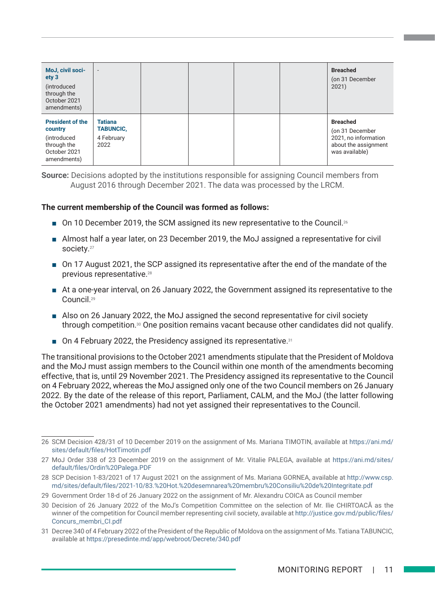| MoJ, civil soci-<br>ety 3<br><i>(introduced)</i><br>through the<br>October 2021<br>amendments)          | $\overline{\phantom{a}}$                                 |  |  | <b>Breached</b><br>(on 31 December<br>2021)                                                          |
|---------------------------------------------------------------------------------------------------------|----------------------------------------------------------|--|--|------------------------------------------------------------------------------------------------------|
| <b>President of the</b><br>country<br><i>(introduced)</i><br>through the<br>October 2021<br>amendments) | <b>Tatiana</b><br><b>TABUNCIC,</b><br>4 February<br>2022 |  |  | <b>Breached</b><br>(on 31 December<br>2021, no information<br>about the assignment<br>was available) |

**Source:** Decisions adopted by the institutions responsible for assigning Council members from August 2016 through December 2021. The data was processed by the LRCM.

#### **The current membership of the Council was formed as follows:**

- On 10 December 2019, the SCM assigned its new representative to the Council.<sup>26</sup>
- Almost half a year later, on 23 December 2019, the MoJ assigned a representative for civil society.27
- On 17 August 2021, the SCP assigned its representative after the end of the mandate of the previous representative.28
- At a one-year interval, on 26 January 2022, the Government assigned its representative to the Council.29
- Also on 26 January 2022, the MoJ assigned the second representative for civil society through competition.30 One position remains vacant because other candidates did not qualify.
- $\blacksquare$  On 4 February 2022, the Presidency assigned its representative.<sup>31</sup>

The transitional provisions to the October 2021 amendments stipulate that the President of Moldova and the MoJ must assign members to the Council within one month of the amendments becoming effective, that is, until 29 November 2021. The Presidency assigned its representative to the Council on 4 February 2022, whereas the MoJ assigned only one of the two Council members on 26 January 2022. By the date of the release of this report, Parliament, CALM, and the MoJ (the latter following the October 2021 amendments) had not yet assigned their representatives to the Council.

<sup>26</sup> SCM Decision 428/31 of 10 December 2019 on the assignment of Ms. Mariana TIMOTIN, available at [https://ani.md/](https://ani.md/sites/default/files/HotTimotin.pdf) [sites/default/files/HotTimotin.pdf](https://ani.md/sites/default/files/HotTimotin.pdf)

<sup>27</sup> MoJ Order 338 of 23 December 2019 on the assignment of Mr. Vitalie PALEGA, available at [https://ani.md/sites/](https://ani.md/sites/default/files/Ordin%20Palega.PDF) [default/files/Ordin%20Palega.PDF](https://ani.md/sites/default/files/Ordin%20Palega.PDF)

<sup>28</sup> SCP Decision 1-83/2021 of 17 August 2021 on the assignment of Ms. Mariana GORNEA, available at [http://www.csp.]( http://www.csp.md/sites/default/files/2021-10/83.%20Hot.%20desemnarea%20membru%20Consiliu%20de%20Integritate.pdf) [md/sites/default/files/2021-10/83.%20Hot.%20desemnarea%20membru%20Consiliu%20de%20Integritate.pdf]( http://www.csp.md/sites/default/files/2021-10/83.%20Hot.%20desemnarea%20membru%20Consiliu%20de%20Integritate.pdf)

<sup>29</sup> Government Order 18-d of 26 January 2022 on the assignment of Mr. Alexandru COICA as Council member

<sup>30</sup> Decision of 26 January 2022 of the MoJ's Competition Committee on the selection of Mr. Ilie CHIRTOACĂ as the winner of the competition for Council member representing civil society, available at [http://justice.gov.md/public/files/](http://justice.gov.md/public/files/Concurs_membri_CI.pdf) [Concurs\\_membri\\_CI.pdf](http://justice.gov.md/public/files/Concurs_membri_CI.pdf)

<sup>31</sup> Decree 340 of 4 February 2022 of the President of the Republic of Moldova on the assignment of Ms. Tatiana TABUNCIC, available at<https://presedinte.md/app/webroot/Decrete/340.pdf>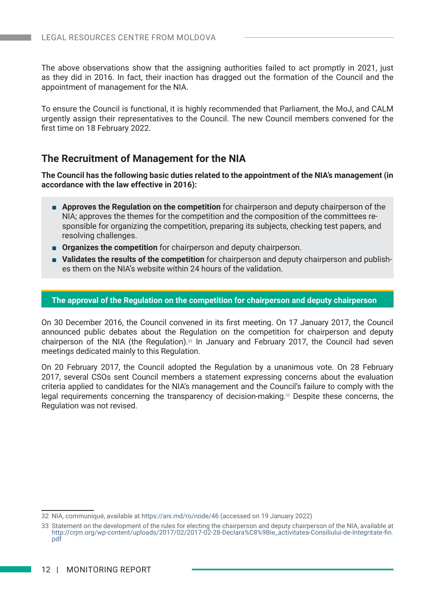<span id="page-11-0"></span>The above observations show that the assigning authorities failed to act promptly in 2021, just as they did in 2016. In fact, their inaction has dragged out the formation of the Council and the appointment of management for the NIA.

To ensure the Council is functional, it is highly recommended that Parliament, the MoJ, and CALM urgently assign their representatives to the Council. The new Council members convened for the first time on 18 February 2022.

# **The Recruitment of Management for the NIA**

**The Council has the following basic duties related to the appointment of the NIA's management (in accordance with the law effective in 2016):** 

- **Approves the Regulation on the competition** for chairperson and deputy chairperson of the NIA; approves the themes for the competition and the composition of the committees responsible for organizing the competition, preparing its subjects, checking test papers, and resolving challenges.
- **Organizes the competition** for chairperson and deputy chairperson.
- **Validates the results of the competition** for chairperson and deputy chairperson and publishes them on the NIA's website within 24 hours of the validation.

#### **The approval of the Regulation on the competition for chairperson and deputy chairperson**

On 30 December 2016, the Council convened in its first meeting. On 17 January 2017, the Council announced public debates about the Regulation on the competition for chairperson and deputy chairperson of the NIA (the Regulation).<sup>32</sup> In January and February 2017, the Council had seven meetings dedicated mainly to this Regulation.

On 20 February 2017, the Council adopted the Regulation by a unanimous vote. On 28 February 2017, several CSOs sent Council members a statement expressing concerns about the evaluation criteria applied to candidates for the NIA's management and the Council's failure to comply with the legal requirements concerning the transparency of decision-making.<sup>33</sup> Despite these concerns, the Regulation was not revised.

<sup>32</sup> NIA, communiqué, available at <https://ani.md/ro/node/46>(accessed on 19 January 2022)

<sup>33</sup> Statement on the development of the rules for electing the chairperson and deputy chairperson of the NIA, available at [http://crjm.org/wp-content/uploads/2017/02/2017-02-28-Declara%C8%9Bie\\_activitatea-Consiliului-de-Integritate-fin.](http://crjm.org/wp-content/uploads/2017/02/2017-02-28-Declara%C8%9Bie_activitatea-Consiliului-de-Integritate-fin.pdf) [pdf](http://crjm.org/wp-content/uploads/2017/02/2017-02-28-Declara%C8%9Bie_activitatea-Consiliului-de-Integritate-fin.pdf)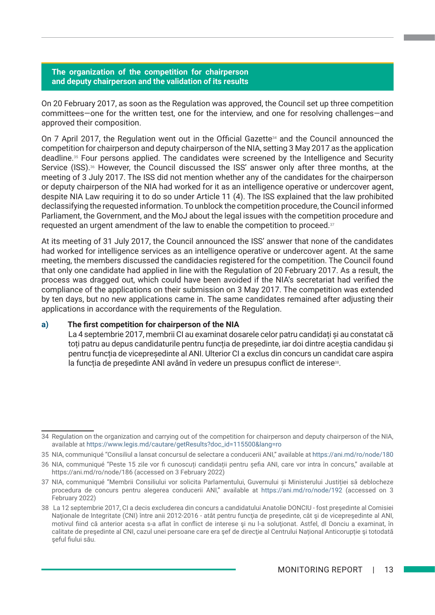**The organization of the competition for chairperson and deputy chairperson and the validation of its results**

On 20 February 2017, as soon as the Regulation was approved, the Council set up three competition committees—one for the written test, one for the interview, and one for resolving challenges—and approved their composition.

On 7 April 2017, the Regulation went out in the Official Gazette<sup>34</sup> and the Council announced the competition for chairperson and deputy chairperson of the NIA, setting 3 May 2017 as the application deadline.35 Four persons applied. The candidates were screened by the Intelligence and Security Service (ISS).<sup>36</sup> However, the Council discussed the ISS' answer only after three months, at the meeting of 3 July 2017. The ISS did not mention whether any of the candidates for the chairperson or deputy chairperson of the NIA had worked for it as an intelligence operative or undercover agent, despite NIA Law requiring it to do so under Article 11 (4). The ISS explained that the law prohibited declassifying the requested information. To unblock the competition procedure, the Council informed Parliament, the Government, and the MoJ about the legal issues with the competition procedure and requested an urgent amendment of the law to enable the competition to proceed.37

At its meeting of 31 July 2017, the Council announced the ISS' answer that none of the candidates had worked for intelligence services as an intelligence operative or undercover agent. At the same meeting, the members discussed the candidacies registered for the competition. The Council found that only one candidate had applied in line with the Regulation of 20 February 2017. As a result, the process was dragged out, which could have been avoided if the NIA's secretariat had verified the compliance of the applications on their submission on 3 May 2017. The competition was extended by ten days, but no new applications came in. The same candidates remained after adjusting their applications in accordance with the requirements of the Regulation.

#### **a) The first competition for chairperson of the NIA**

La 4 septembrie 2017, membrii CI au examinat dosarele celor patru candidați și au constatat că toți patru au depus candidaturile pentru funcția de președinte, iar doi dintre aceștia candidau și pentru funcția de vicepreședinte al ANI. Ulterior CI a exclus din concurs un candidat care aspira la funcția de președinte ANI având în vedere un presupus conflict de interese<sup>38</sup>.

<sup>34</sup> Regulation on the organization and carrying out of the competition for chairperson and deputy chairperson of the NIA, available at [https://www.legis.md/cautare/getResults?doc\\_id=115500&lang=ro](https://www.legis.md/cautare/getResults?doc_id=115500&lang=ro)

<sup>35</sup> NIA, communiqué "Consiliul a lansat concursul de selectare a conducerii ANI," available at <https://ani.md/ro/node/180>

<sup>36</sup> NIA, communiqué "Peste 15 zile vor fi cunoscuți candidații pentru șefia ANI, care vor intra în concurs," available at https://ani.md/ro/node/186 (accessed on 3 February 2022)

<sup>37</sup> NIA, communiqué "Membrii Consiliului vor solicita Parlamentului, Guvernului și Ministerului Justiției să deblocheze procedura de concurs pentru alegerea conducerii ANI," available at <https://ani.md/ro/node/192>(accessed on 3 February 2022)

<sup>38</sup> La 12 septembrie 2017, CI a decis excluderea din concurs a candidatului Anatolie DONCIU - fost preşedinte al Comisiei Nationale de Integritate (CNI) între anii 2012-2016 - atât pentru funcția de presedinte, cât și de vicepreședinte al ANI, motivul fiind că anterior acesta s-a aflat în conflict de interese şi nu l-a soluţionat. Astfel, dl Donciu a examinat, în calitate de preşedinte al CNI, cazul unei persoane care era şef de direcţie al Centrului Național Anticorupție şi totodată şeful fiului său.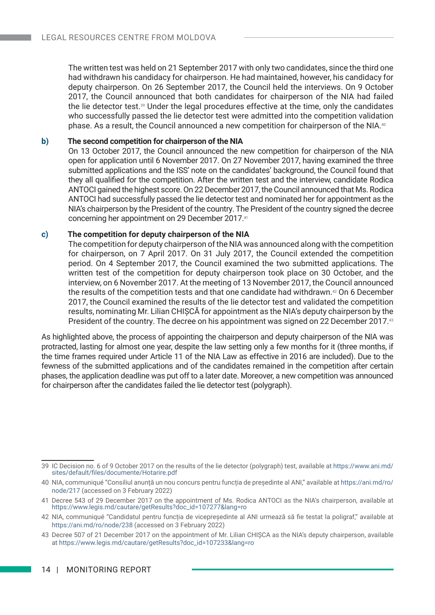The written test was held on 21 September 2017 with only two candidates, since the third one had withdrawn his candidacy for chairperson. He had maintained, however, his candidacy for deputy chairperson. On 26 September 2017, the Council held the interviews. On 9 October 2017, the Council announced that both candidates for chairperson of the NIA had failed the lie detector test.<sup>39</sup> Under the legal procedures effective at the time, only the candidates who successfully passed the lie detector test were admitted into the competition validation phase. As a result, the Council announced a new competition for chairperson of the NIA.<sup>40</sup>

#### **b) The second competition for chairperson of the NIA**

On 13 October 2017, the Council announced the new competition for chairperson of the NIA open for application until 6 November 2017. On 27 November 2017, having examined the three submitted applications and the ISS' note on the candidates' background, the Council found that they all qualified for the competition. After the written test and the interview, candidate Rodica ANTOCI gained the highest score. On 22 December 2017, the Council announced that Ms. Rodica ANTOCI had successfully passed the lie detector test and nominated her for appointment as the NIA's chairperson by the President of the country. The President of the country signed the decree concerning her appointment on 29 December 2017.41

#### **c) The competition for deputy chairperson of the NIA**

The competition for deputy chairperson of the NIA was announced along with the competition for chairperson, on 7 April 2017. On 31 July 2017, the Council extended the competition period. On 4 September 2017, the Council examined the two submitted applications. The written test of the competition for deputy chairperson took place on 30 October, and the interview, on 6 November 2017. At the meeting of 13 November 2017, the Council announced the results of the competition tests and that one candidate had withdrawn.<sup>42</sup> On 6 December 2017, the Council examined the results of the lie detector test and validated the competition results, nominating Mr. Lilian CHIȘCĂ for appointment as the NIA's deputy chairperson by the President of the country. The decree on his appointment was signed on 22 December 2017.<sup>43</sup>

As highlighted above, the process of appointing the chairperson and deputy chairperson of the NIA was protracted, lasting for almost one year, despite the law setting only a few months for it (three months, if the time frames required under Article 11 of the NIA Law as effective in 2016 are included). Due to the fewness of the submitted applications and of the candidates remained in the competition after certain phases, the application deadline was put off to a later date. Moreover, a new competition was announced for chairperson after the candidates failed the lie detector test (polygraph).

<sup>39</sup> IC Decision no. 6 of 9 October 2017 on the results of the lie detector (polygraph) test, available at [https://www.ani.md/](https://www.ani.md/sites/default/files/documente/Hotarire.pdf) [sites/default/files/documente/Hotarire.pdf](https://www.ani.md/sites/default/files/documente/Hotarire.pdf)

<sup>40</sup> NIA, communiqué "Consiliul anunță un nou concurs pentru funcția de președinte al ANI," available at [https://ani.md/ro/](https://ani.md/ro/node/217 ) [node/217 \(](https://ani.md/ro/node/217 )accessed on 3 February 2022)

<sup>41</sup> Decree 543 of 29 December 2017 on the appointment of Ms. Rodica ANTOCI as the NIA's chairperson, available at [https://www.legis.md/cautare/getResults?doc\\_id=107277&lang=ro](https://www.legis.md/cautare/getResults?doc_id=107277&lang=ro)

<sup>42</sup> NIA, communiqué "Candidatul pentru funcția de vicepreședinte al ANI urmează să fie testat la poligraf," available at <https://ani.md/ro/node/238>(accessed on 3 February 2022)

<sup>43</sup> Decree 507 of 21 December 2017 on the appointment of Mr. Lilian CHIȘCA as the NIA's deputy chairperson, available at [https://www.legis.md/cautare/getResults?doc\\_id=107233&lang=ro](https://www.legis.md/cautare/getResults?doc_id=107233&lang=ro)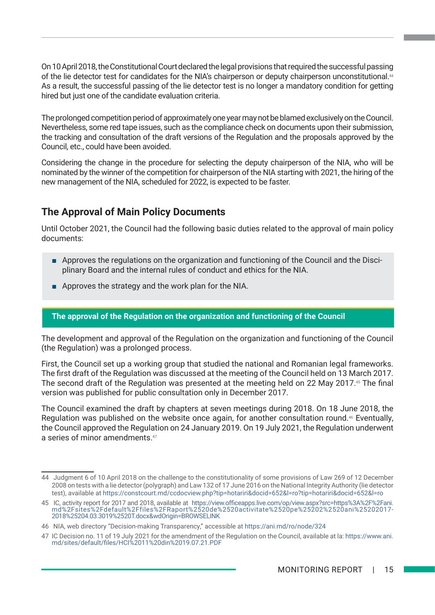<span id="page-14-0"></span>On 10 April 2018, the Constitutional Court declared the legal provisions that required the successful passing of the lie detector test for candidates for the NIA's chairperson or deputy chairperson unconstitutional.<sup>44</sup> As a result, the successful passing of the lie detector test is no longer a mandatory condition for getting hired but just one of the candidate evaluation criteria.

The prolonged competition period of approximately one year may not be blamed exclusively on the Council. Nevertheless, some red tape issues, such as the compliance check on documents upon their submission, the tracking and consultation of the draft versions of the Regulation and the proposals approved by the Council, etc., could have been avoided.

Considering the change in the procedure for selecting the deputy chairperson of the NIA, who will be nominated by the winner of the competition for chairperson of the NIA starting with 2021, the hiring of the new management of the NIA, scheduled for 2022, is expected to be faster.

# **The Approval of Main Policy Documents**

Until October 2021, the Council had the following basic duties related to the approval of main policy documents:

- Approves the regulations on the organization and functioning of the Council and the Disciplinary Board and the internal rules of conduct and ethics for the NIA.
- Approves the strategy and the work plan for the NIA.

## **The approval of the Regulation on the organization and functioning of the Council**

The development and approval of the Regulation on the organization and functioning of the Council (the Regulation) was a prolonged process.

First, the Council set up a working group that studied the national and Romanian legal frameworks. The first draft of the Regulation was discussed at the meeting of the Council held on 13 March 2017. The second draft of the Regulation was presented at the meeting held on 22 May 2017.45 The final version was published for public consultation only in December 2017.

The Council examined the draft by chapters at seven meetings during 2018. On 18 June 2018, the Regulation was published on the website once again, for another consultation round.46 Eventually, the Council approved the Regulation on 24 January 2019. On 19 July 2021, the Regulation underwent a series of minor amendments  $47$ 

<sup>44</sup> Judgment 6 of 10 April 2018 on the challenge to the constitutionality of some provisions of Law 269 of 12 December 2008 on tests with a lie detector (polygraph) and Law 132 of 17 June 2016 on the National Integrity Authority (lie detector test), available at <https://constcourt.md/ccdocview.php?tip=hotariri&docid=652&l=ro?tip=hotariri&docid=652&l=ro>

<sup>45</sup> IC, activity report for 2017 and 2018, available at [https://view.officeapps.live.com/op/view.aspx?src=https%3A%2F%2Fani.](https://view.officeapps.live.com/op/view.aspx?src=https%3A%2F%2Fani.md%2Fsites%2Fdefault%2Ffiles%2FRaport%2520de%2520activitate%2520pe%25202%2520ani%25202017-2018%25204.03.3019%2520T.docx&wdOrigin=BROWSELINK) [md%2Fsites%2Fdefault%2Ffiles%2FRaport%2520de%2520activitate%2520pe%25202%2520ani%25202017-](https://view.officeapps.live.com/op/view.aspx?src=https%3A%2F%2Fani.md%2Fsites%2Fdefault%2Ffiles%2FRaport%2520de%2520activitate%2520pe%25202%2520ani%25202017-2018%25204.03.3019%2520T.docx&wdOrigin=BROWSELINK) [2018%25204.03.3019%2520T.docx&wdOrigin=BROWSELINK](https://view.officeapps.live.com/op/view.aspx?src=https%3A%2F%2Fani.md%2Fsites%2Fdefault%2Ffiles%2FRaport%2520de%2520activitate%2520pe%25202%2520ani%25202017-2018%25204.03.3019%2520T.docx&wdOrigin=BROWSELINK)

<sup>46</sup> NIA, web directory "Decision-making Transparency," accessible at<https://ani.md/ro/node/324>

<sup>47</sup> IC Decision no. 11 of 19 July 2021 for the amendment of the Regulation on the Council, available at la: [https://www.ani.](https://www.ani.md/sites/default/files/HCI%2011%20din%2019.07.21.PDF) [md/sites/default/files/HCI%2011%20din%2019.07.21.PDF](https://www.ani.md/sites/default/files/HCI%2011%20din%2019.07.21.PDF)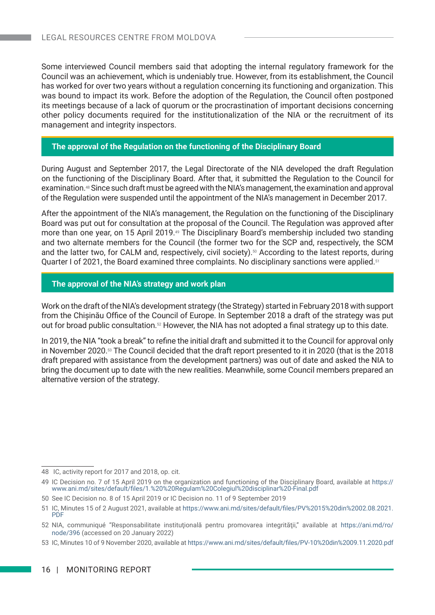Some interviewed Council members said that adopting the internal regulatory framework for the Council was an achievement, which is undeniably true. However, from its establishment, the Council has worked for over two years without a regulation concerning its functioning and organization. This was bound to impact its work. Before the adoption of the Regulation, the Council often postponed its meetings because of a lack of quorum or the procrastination of important decisions concerning other policy documents required for the institutionalization of the NIA or the recruitment of its management and integrity inspectors.

## **The approval of the Regulation on the functioning of the Disciplinary Board**

During August and September 2017, the Legal Directorate of the NIA developed the draft Regulation on the functioning of the Disciplinary Board. After that, it submitted the Regulation to the Council for examination.48 Since such draft must be agreed with the NIA's management, the examination and approval of the Regulation were suspended until the appointment of the NIA's management in December 2017.

After the appointment of the NIA's management, the Regulation on the functioning of the Disciplinary Board was put out for consultation at the proposal of the Council. The Regulation was approved after more than one year, on 15 April 2019.<sup>49</sup> The Disciplinary Board's membership included two standing and two alternate members for the Council (the former two for the SCP and, respectively, the SCM and the latter two, for CALM and, respectively, civil society).<sup>50</sup> According to the latest reports, during Quarter I of 2021, the Board examined three complaints. No disciplinary sanctions were applied.<sup>51</sup>

### **The approval of the NIA's strategy and work plan**

Work on the draft of the NIA's development strategy (the Strategy) started in February 2018 with support from the Chișinău Office of the Council of Europe. In September 2018 a draft of the strategy was put out for broad public consultation.52 However, the NIA has not adopted a final strategy up to this date.

In 2019, the NIA "took a break" to refine the initial draft and submitted it to the Council for approval only in November 2020.<sup>53</sup> The Council decided that the draft report presented to it in 2020 (that is the 2018 draft prepared with assistance from the development partners) was out of date and asked the NIA to bring the document up to date with the new realities. Meanwhile, some Council members prepared an alternative version of the strategy.

<sup>48</sup> IC, activity report for 2017 and 2018, op. cit.

<sup>49</sup> IC Decision no. 7 of 15 April 2019 on the organization and functioning of the Disciplinary Board, available at [https://](https://www.ani.md/sites/default/files/1.%20%20Regulam%20Colegiul%20disciplinar%20-Final.pdf) [www.ani.md/sites/default/files/1.%20%20Regulam%20Colegiul%20disciplinar%20-Final.pdf](https://www.ani.md/sites/default/files/1.%20%20Regulam%20Colegiul%20disciplinar%20-Final.pdf)

<sup>50</sup> See IC Decision no. 8 of 15 April 2019 or IC Decision no. 11 of 9 September 2019

<sup>51</sup> IC, Minutes 15 of 2 August 2021, available at [https://www.ani.md/sites/default/files/PV%2015%20din%2002.08.2021.](https://www.ani.md/sites/default/files/PV%2015%20din%2002.08.2021.PDF) [PDF](https://www.ani.md/sites/default/files/PV%2015%20din%2002.08.2021.PDF)

<sup>52</sup> NIA, communiqué "Responsabilitate instituţională pentru promovarea integrităţii," available at [https://ani.md/ro/](https://ani.md/ro/node/396) [node/396](https://ani.md/ro/node/396) (accessed on 20 January 2022)

<sup>53</sup> IC, Minutes 10 of 9 November 2020, available at <https://www.ani.md/sites/default/files/PV-10%20din%2009.11.2020.pdf>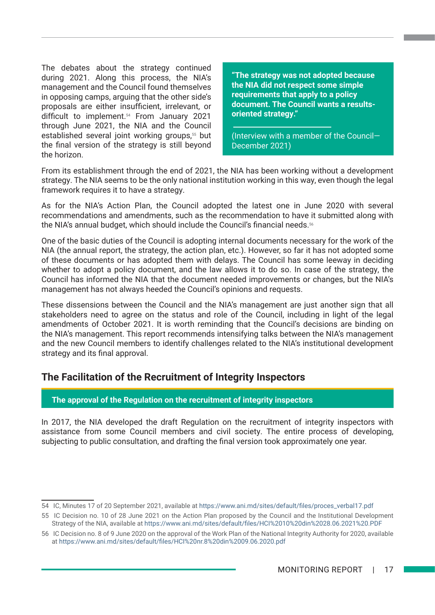<span id="page-16-0"></span>The debates about the strategy continued during 2021. Along this process, the NIA's management and the Council found themselves in opposing camps, arguing that the other side's proposals are either insufficient, irrelevant, or difficult to implement.54 From January 2021 through June 2021, the NIA and the Council established several joint working groups,<sup>55</sup> but the final version of the strategy is still beyond the horizon.

**"The strategy was not adopted because the NIA did not respect some simple requirements that apply to a policy document. The Council wants a resultsoriented strategy."**

(Interview with a member of the Council— December 2021)

From its establishment through the end of 2021, the NIA has been working without a development strategy. The NIA seems to be the only national institution working in this way, even though the legal framework requires it to have a strategy.

As for the NIA's Action Plan, the Council adopted the latest one in June 2020 with several recommendations and amendments, such as the recommendation to have it submitted along with the NIA's annual budget, which should include the Council's financial needs.<sup>56</sup>

One of the basic duties of the Council is adopting internal documents necessary for the work of the NIA (the annual report, the strategy, the action plan, etc.). However, so far it has not adopted some of these documents or has adopted them with delays. The Council has some leeway in deciding whether to adopt a policy document, and the law allows it to do so. In case of the strategy, the Council has informed the NIA that the document needed improvements or changes, but the NIA's management has not always heeded the Council's opinions and requests.

These dissensions between the Council and the NIA's management are just another sign that all stakeholders need to agree on the status and role of the Council, including in light of the legal amendments of October 2021. It is worth reminding that the Council's decisions are binding on the NIA's management. This report recommends intensifying talks between the NIA's management and the new Council members to identify challenges related to the NIA's institutional development strategy and its final approval.

# **The Facilitation of the Recruitment of Integrity Inspectors**

**The approval of the Regulation on the recruitment of integrity inspectors**

In 2017, the NIA developed the draft Regulation on the recruitment of integrity inspectors with assistance from some Council members and civil society. The entire process of developing, subjecting to public consultation, and drafting the final version took approximately one year.

<sup>54</sup> IC, Minutes 17 of 20 September 2021, available at [https://www.ani.md/sites/default/files/proces\\_verbal17.pdf](https://www.ani.md/sites/default/files/proces_verbal17.pdf)

<sup>55</sup> IC Decision no. 10 of 28 June 2021 on the Action Plan proposed by the Council and the Institutional Development Strategy of the NIA, available at <https://www.ani.md/sites/default/files/HCI%2010%20din%2028.06.2021%20.PDF>

<sup>56</sup> IC Decision no. 8 of 9 June 2020 on the approval of the Work Plan of the National Integrity Authority for 2020, available at <https://www.ani.md/sites/default/files/HCI%20nr.8%20din%2009.06.2020.pdf>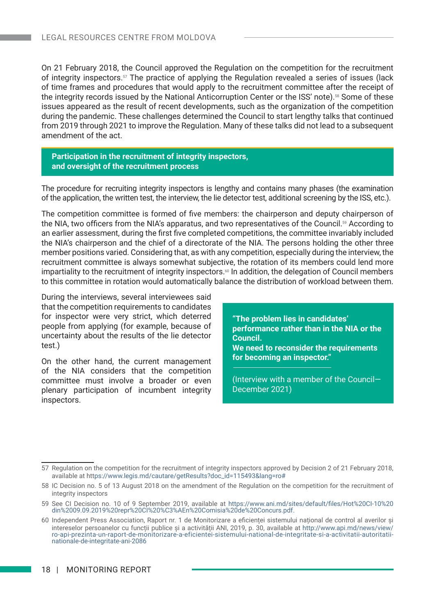On 21 February 2018, the Council approved the Regulation on the competition for the recruitment of integrity inspectors.57 The practice of applying the Regulation revealed a series of issues (lack of time frames and procedures that would apply to the recruitment committee after the receipt of the integrity records issued by the National Anticorruption Center or the ISS' note).<sup>58</sup> Some of these issues appeared as the result of recent developments, such as the organization of the competition during the pandemic. These challenges determined the Council to start lengthy talks that continued from 2019 through 2021 to improve the Regulation. Many of these talks did not lead to a subsequent amendment of the act.

**Participation in the recruitment of integrity inspectors, and oversight of the recruitment process**

The procedure for recruiting integrity inspectors is lengthy and contains many phases (the examination of the application, the written test, the interview, the lie detector test, additional screening by the ISS, etc.).

The competition committee is formed of five members: the chairperson and deputy chairperson of the NIA, two officers from the NIA's apparatus, and two representatives of the Council.59 According to an earlier assessment, during the first five completed competitions, the committee invariably included the NIA's chairperson and the chief of a directorate of the NIA. The persons holding the other three member positions varied. Considering that, as with any competition, especially during the interview, the recruitment committee is always somewhat subjective, the rotation of its members could lend more impartiality to the recruitment of integrity inspectors.<sup>60</sup> In addition, the delegation of Council members to this committee in rotation would automatically balance the distribution of workload between them.

During the interviews, several interviewees said that the competition requirements to candidates for inspector were very strict, which deterred people from applying (for example, because of uncertainty about the results of the lie detector test.)

On the other hand, the current management of the NIA considers that the competition committee must involve a broader or even plenary participation of incumbent integrity inspectors.

**"The problem lies in candidates' performance rather than in the NIA or the Council. We need to reconsider the requirements for becoming an inspector."**

(Interview with a member of the Council— December 2021)

<sup>57</sup> Regulation on the competition for the recruitment of integrity inspectors approved by Decision 2 of 21 February 2018, available at ht[tps://www.legis.md/cautare/getResults?doc\\_id=115493&lang=ro#](ps://www.legis.md/cautare/getResults?doc_id=115493&lang=ro#)

<sup>58</sup> IC Decision no. 5 of 13 August 2018 on the amendment of the Regulation on the competition for the recruitment of integrity inspectors

<sup>59</sup> See CI Decision no. 10 of 9 September 2019, available at [https://www.ani.md/sites/default/files/Hot%20CI-10%20](https://www.ani.md/sites/default/files/Hot%20CI-10%20din%2009.09.2019%20repr%20CI%20%C3%AEn%20Comisia%20de%20Concurs.pdf.) [din%2009.09.2019%20repr%20CI%20%C3%AEn%20Comisia%20de%20Concurs.pdf.](https://www.ani.md/sites/default/files/Hot%20CI-10%20din%2009.09.2019%20repr%20CI%20%C3%AEn%20Comisia%20de%20Concurs.pdf.)

<sup>60</sup> Independent Press Association, Raport nr. 1 de Monitorizare a eficienței sistemului național de control al averilor și intereselor persoanelor cu funcții publice și a activității ANI, 2019, p. 30, available at [http://www.api.md/news/view/](http://www.api.md/news/view/ro-api-prezinta-un-raport-de-monitorizare-a-eficientei-sistemului-national-de-integritate-si-a-activitatii-autoritatii-nationale-de-integritate-ani-2086) [ro-api-prezinta-un-raport-de-monitorizare-a-eficientei-sistemului-national-de-integritate-si-a-activitatii-autoritatii](http://www.api.md/news/view/ro-api-prezinta-un-raport-de-monitorizare-a-eficientei-sistemului-national-de-integritate-si-a-activitatii-autoritatii-nationale-de-integritate-ani-2086)[nationale-de-integritate-ani-2086](http://www.api.md/news/view/ro-api-prezinta-un-raport-de-monitorizare-a-eficientei-sistemului-national-de-integritate-si-a-activitatii-autoritatii-nationale-de-integritate-ani-2086)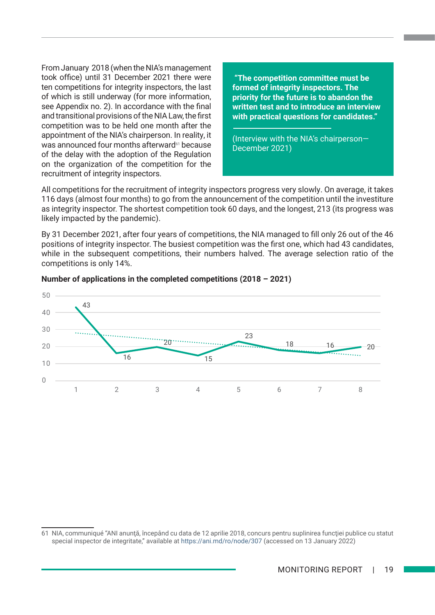From January 2018 (when the NIA's management took office) until 31 December 2021 there were ten competitions for integrity inspectors, the last of which is still underway (for more information, see Appendix no. 2). In accordance with the final and transitional provisions of the NIA Law, the first competition was to be held one month after the appointment of the NIA's chairperson. In reality, it was announced four months afterward<sup>61</sup> because of the delay with the adoption of the Regulation on the organization of the competition for the recruitment of integrity inspectors.

 **"The competition committee must be formed of integrity inspectors. The priority for the future is to abandon the written test and to introduce an interview with practical questions for candidates."**

(Interview with the NIA's chairperson— December 2021)

All competitions for the recruitment of integrity inspectors progress very slowly. On average, it takes 116 days (almost four months) to go from the announcement of the competition until the investiture as integrity inspector. The shortest competition took 60 days, and the longest, 213 (its progress was likely impacted by the pandemic).

By 31 December 2021, after four years of competitions, the NIA managed to fill only 26 out of the 46 positions of integrity inspector. The busiest competition was the first one, which had 43 candidates, while in the subsequent competitions, their numbers halved. The average selection ratio of the competitions is only 14%.



#### **Number of applications in the completed competitions (2018 – 2021)**

<sup>61</sup> NIA, communiqué "ANI anuntă, începând cu data de 12 aprilie 2018, concurs pentru suplinirea funcției publice cu statut special inspector de integritate," available at <https://ani.md/ro/node/307>(accessed on 13 January 2022)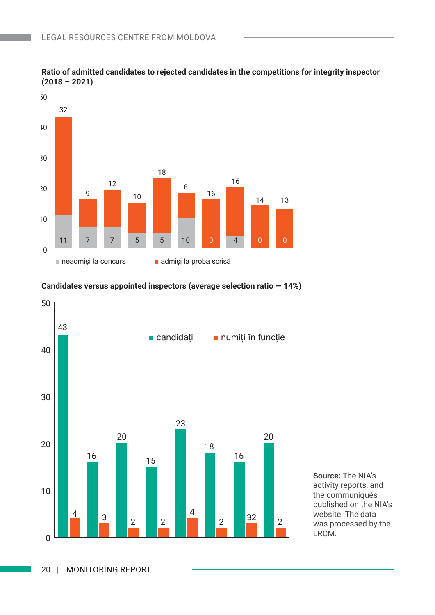

**Ratio of admitted candidates to rejected candidates in the competitions for integrity inspector (2018 – 2021)** 

#### **Candidates versus appointed inspectors (average selection ratio — 14%)**



**Source:** The NIA's activity reports, and the communiqués published on the NIA's website. The data was processed by the LRCM.

20 | MONITORING REPORT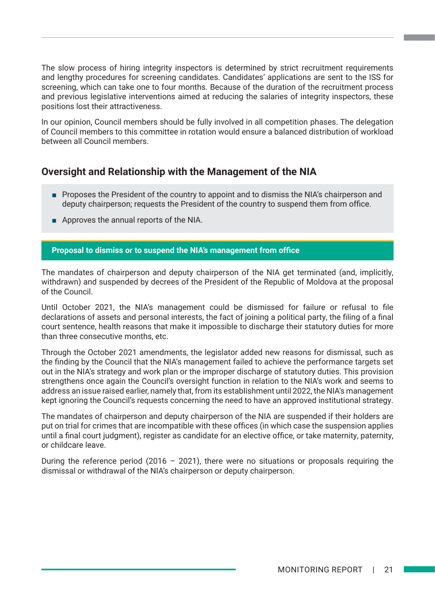<span id="page-20-0"></span>The slow process of hiring integrity inspectors is determined by strict recruitment requirements and lengthy procedures for screening candidates. Candidates' applications are sent to the ISS for screening, which can take one to four months. Because of the duration of the recruitment process and previous legislative interventions aimed at reducing the salaries of integrity inspectors, these positions lost their attractiveness.

In our opinion, Council members should be fully involved in all competition phases. The delegation of Council members to this committee in rotation would ensure a balanced distribution of workload between all Council members.

# **Oversight and Relationship with the Management of the NIA**

- Proposes the President of the country to appoint and to dismiss the NIA's chairperson and deputy chairperson; requests the President of the country to suspend them from office.
- Approves the annual reports of the NIA.

# **Proposal to dismiss or to suspend the NIA's management from office**

The mandates of chairperson and deputy chairperson of the NIA get terminated (and, implicitly, withdrawn) and suspended by decrees of the President of the Republic of Moldova at the proposal of the Council.

Until October 2021, the NIA's management could be dismissed for failure or refusal to file declarations of assets and personal interests, the fact of joining a political party, the filing of a final court sentence, health reasons that make it impossible to discharge their statutory duties for more than three consecutive months, etc.

Through the October 2021 amendments, the legislator added new reasons for dismissal, such as the finding by the Council that the NIA's management failed to achieve the performance targets set out in the NIA's strategy and work plan or the improper discharge of statutory duties. This provision strengthens once again the Council's oversight function in relation to the NIA's work and seems to address an issue raised earlier, namely that, from its establishment until 2022, the NIA's management kept ignoring the Council's requests concerning the need to have an approved institutional strategy.

The mandates of chairperson and deputy chairperson of the NIA are suspended if their holders are put on trial for crimes that are incompatible with these offices (in which case the suspension applies until a final court judgment), register as candidate for an elective office, or take maternity, paternity, or childcare leave.

During the reference period (2016 – 2021), there were no situations or proposals requiring the dismissal or withdrawal of the NIA's chairperson or deputy chairperson.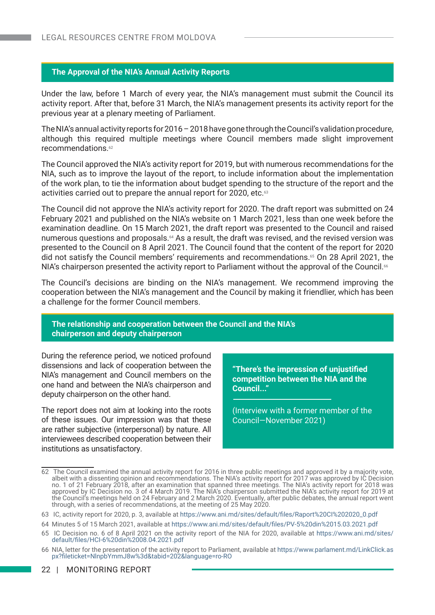#### **The Approval of the NIA's Annual Activity Reports**

Under the law, before 1 March of every year, the NIA's management must submit the Council its activity report. After that, before 31 March, the NIA's management presents its activity report for the previous year at a plenary meeting of Parliament.

The NIA's annual activity reports for 2016 – 2018 have gone through the Council's validation procedure, although this required multiple meetings where Council members made slight improvement recommendations.62

The Council approved the NIA's activity report for 2019, but with numerous recommendations for the NIA, such as to improve the layout of the report, to include information about the implementation of the work plan, to tie the information about budget spending to the structure of the report and the activities carried out to prepare the annual report for 2020, etc.<sup>63</sup>

The Council did not approve the NIA's activity report for 2020. The draft report was submitted on 24 February 2021 and published on the NIA's website on 1 March 2021, less than one week before the examination deadline. On 15 March 2021, the draft report was presented to the Council and raised numerous questions and proposals.64 As a result, the draft was revised, and the revised version was presented to the Council on 8 April 2021. The Council found that the content of the report for 2020 did not satisfy the Council members' requirements and recommendations.<sup>65</sup> On 28 April 2021, the NIA's chairperson presented the activity report to Parliament without the approval of the Council.<sup>66</sup>

The Council's decisions are binding on the NIA's management. We recommend improving the cooperation between the NIA's management and the Council by making it friendlier, which has been a challenge for the former Council members.

**The relationship and cooperation between the Council and the NIA's chairperson and deputy chairperson**

During the reference period, we noticed profound dissensions and lack of cooperation between the NIA's management and Council members on the one hand and between the NIA's chairperson and deputy chairperson on the other hand.

The report does not aim at looking into the roots of these issues. Our impression was that these are rather subjective (interpersonal) by nature. All interviewees described cooperation between their institutions as unsatisfactory.

**"There's the impression of unjustified competition between the NIA and the Council..."**

(Interview with a former member of the Council—November 2021)

<sup>62</sup> The Council examined the annual activity report for 2016 in three public meetings and approved it by a majority vote, albeit with a dissenting opinion and recommendations. The NIA's activity report for 2017 was approved by IC Decision no. 1 of 21 February 2018, after an examination that spanned three meetings. The NIA's activity report for 2018 was approved by IC Decision no. 3 of 4 March 2019. The NIA's chairperson submitted the NIA's activity report for 2019 at the Council's meetings held on 24 February and 2 March 2020. Eventually, after public debates, the annual report went through, with a series of recommendations, at the meeting of 25 May 2020.

<sup>63</sup> IC, activity report for 2020, p. 3, available at [https://www.ani.md/sites/default/files/Raport%20CI%202020\\_0.pdf](https://www.ani.md/sites/default/files/Raport%20CI%202020_0.pdf)

<sup>64</sup> Minutes 5 of 15 March 2021, available at <https://www.ani.md/sites/default/files/PV-5%20din%2015.03.2021.pdf>

<sup>65</sup> IC Decision no. 6 of 8 April 2021 on the activity report of the NIA for 2020, available at [https://www.ani.md/sites/](https://www.ani.md/sites/default/files/HCI-6%20din%2008.04.2021.pdf) [default/files/HCI-6%20din%2008.04.2021.pdf](https://www.ani.md/sites/default/files/HCI-6%20din%2008.04.2021.pdf)

<sup>66</sup> NIA, letter for the presentation of the activity report to Parliament, available at [https://www.parlament.md/LinkClick.as](https://www.parlament.md/LinkClick.aspx?fileticket=NlnpbYmmJ8w%3d&tabid=202&language=ro-RO) [px?fileticket=NlnpbYmmJ8w%3d&tabid=202&language=ro-RO](https://www.parlament.md/LinkClick.aspx?fileticket=NlnpbYmmJ8w%3d&tabid=202&language=ro-RO)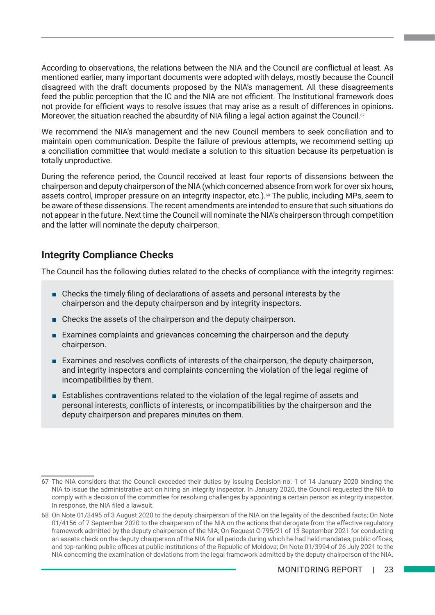<span id="page-22-0"></span>According to observations, the relations between the NIA and the Council are conflictual at least. As mentioned earlier, many important documents were adopted with delays, mostly because the Council disagreed with the draft documents proposed by the NIA's management. All these disagreements feed the public perception that the IC and the NIA are not efficient. The Institutional framework does not provide for efficient ways to resolve issues that may arise as a result of differences in opinions. Moreover, the situation reached the absurdity of NIA filing a legal action against the Council.<sup>67</sup>

We recommend the NIA's management and the new Council members to seek conciliation and to maintain open communication. Despite the failure of previous attempts, we recommend setting up a conciliation committee that would mediate a solution to this situation because its perpetuation is totally unproductive.

During the reference period, the Council received at least four reports of dissensions between the chairperson and deputy chairperson of the NIA (which concerned absence from work for over six hours, assets control, improper pressure on an integrity inspector, etc.).<sup>68</sup> The public, including MPs, seem to be aware of these dissensions. The recent amendments are intended to ensure that such situations do not appear in the future. Next time the Council will nominate the NIA's chairperson through competition and the latter will nominate the deputy chairperson.

# **Integrity Compliance Checks**

The Council has the following duties related to the checks of compliance with the integrity regimes:

- Checks the timely filing of declarations of assets and personal interests by the chairperson and the deputy chairperson and by integrity inspectors.
- Checks the assets of the chairperson and the deputy chairperson.
- Examines complaints and grievances concerning the chairperson and the deputy chairperson.
- Examines and resolves conflicts of interests of the chairperson, the deputy chairperson, and integrity inspectors and complaints concerning the violation of the legal regime of incompatibilities by them.
- Establishes contraventions related to the violation of the legal regime of assets and personal interests, conflicts of interests, or incompatibilities by the chairperson and the deputy chairperson and prepares minutes on them.

<sup>67</sup> The NIA considers that the Council exceeded their duties by issuing Decision no. 1 of 14 January 2020 binding the NIA to issue the administrative act on hiring an integrity inspector. In January 2020, the Council requested the NIA to comply with a decision of the committee for resolving challenges by appointing a certain person as integrity inspector. In response, the NIA filed a lawsuit.

<sup>68</sup> On Note 01/3495 of 3 August 2020 to the deputy chairperson of the NIA on the legality of the described facts; On Note 01/4156 of 7 September 2020 to the chairperson of the NIA on the actions that derogate from the effective regulatory framework admitted by the deputy chairperson of the NIA; On Request C-795/21 of 13 September 2021 for conducting an assets check on the deputy chairperson of the NIA for all periods during which he had held mandates, public offices, and top-ranking public offices at public institutions of the Republic of Moldova; On Note 01/3994 of 26 July 2021 to the NIA concerning the examination of deviations from the legal framework admitted by the deputy chairperson of the NIA.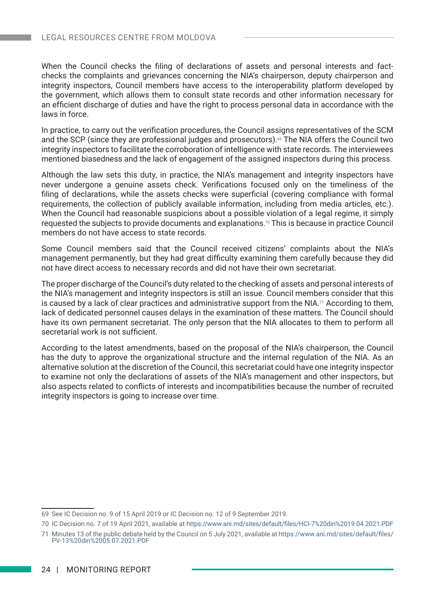When the Council checks the filing of declarations of assets and personal interests and factchecks the complaints and grievances concerning the NIA's chairperson, deputy chairperson and integrity inspectors, Council members have access to the interoperability platform developed by the government, which allows them to consult state records and other information necessary for an efficient discharge of duties and have the right to process personal data in accordance with the laws in force.

In practice, to carry out the verification procedures, the Council assigns representatives of the SCM and the SCP (since they are professional judges and prosecutors).<sup>69</sup> The NIA offers the Council two integrity inspectors to facilitate the corroboration of intelligence with state records. The interviewees mentioned biasedness and the lack of engagement of the assigned inspectors during this process.

Although the law sets this duty, in practice, the NIA's management and integrity inspectors have never undergone a genuine assets check. Verifications focused only on the timeliness of the filing of declarations, while the assets checks were superficial (covering compliance with formal requirements, the collection of publicly available information, including from media articles, etc.). When the Council had reasonable suspicions about a possible violation of a legal regime, it simply requested the subjects to provide documents and explanations.70 This is because in practice Council members do not have access to state records.

Some Council members said that the Council received citizens' complaints about the NIA's management permanently, but they had great difficulty examining them carefully because they did not have direct access to necessary records and did not have their own secretariat.

The proper discharge of the Council's duty related to the checking of assets and personal interests of the NIA's management and integrity inspectors is still an issue. Council members consider that this is caused by a lack of clear practices and administrative support from the NIA.71 According to them, lack of dedicated personnel causes delays in the examination of these matters. The Council should have its own permanent secretariat. The only person that the NIA allocates to them to perform all secretarial work is not sufficient.

According to the latest amendments, based on the proposal of the NIA's chairperson, the Council has the duty to approve the organizational structure and the internal regulation of the NIA. As an alternative solution at the discretion of the Council, this secretariat could have one integrity inspector to examine not only the declarations of assets of the NIA's management and other inspectors, but also aspects related to conflicts of interests and incompatibilities because the number of recruited integrity inspectors is going to increase over time.

<sup>69</sup> See IC Decision no. 9 of 15 April 2019 or IC Decision no. 12 of 9 September 2019.

<sup>70</sup> IC Decision no. 7 of 19 April 2021, available at <https://www.ani.md/sites/default/files/HCI-7%20din%2019.04.2021.PDF>

<sup>71</sup> Minutes 13 of the public debate held by the Council on 5 July 2021, available at [https://www.ani.md/sites/default/files/](https://www.ani.md/sites/default/files/PV-13%20din%2005.07.2021.PDF) [PV-13%20din%2005.07.2021.PDF](https://www.ani.md/sites/default/files/PV-13%20din%2005.07.2021.PDF)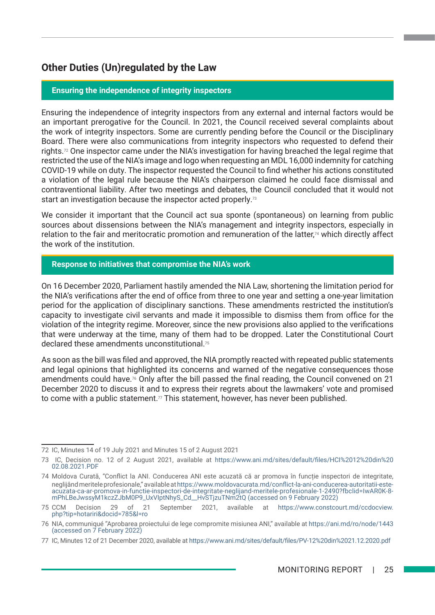# <span id="page-24-0"></span>**Other Duties (Un)regulated by the Law**

### **Ensuring the independence of integrity inspectors**

Ensuring the independence of integrity inspectors from any external and internal factors would be an important prerogative for the Council. In 2021, the Council received several complaints about the work of integrity inspectors. Some are currently pending before the Council or the Disciplinary Board. There were also communications from integrity inspectors who requested to defend their rights.72 One inspector came under the NIA's investigation for having breached the legal regime that restricted the use of the NIA's image and logo when requesting an MDL 16,000 indemnity for catching COVID-19 while on duty. The inspector requested the Council to find whether his actions constituted a violation of the legal rule because the NIA's chairperson claimed he could face dismissal and contraventional liability. After two meetings and debates, the Council concluded that it would not start an investigation because the inspector acted properly.<sup>73</sup>

We consider it important that the Council act sua sponte (spontaneous) on learning from public sources about dissensions between the NIA's management and integrity inspectors, especially in relation to the fair and meritocratic promotion and remuneration of the latter,74 which directly affect the work of the institution.

**Response to initiatives that compromise the NIA's work**

On 16 December 2020, Parliament hastily amended the NIA Law, shortening the limitation period for the NIA's verifications after the end of office from three to one year and setting a one-year limitation period for the application of disciplinary sanctions. These amendments restricted the institution's capacity to investigate civil servants and made it impossible to dismiss them from office for the violation of the integrity regime. Moreover, since the new provisions also applied to the verifications that were underway at the time, many of them had to be dropped. Later the Constitutional Court declared these amendments unconstitutional.75

As soon as the bill was filed and approved, the NIA promptly reacted with repeated public statements and legal opinions that highlighted its concerns and warned of the negative consequences those amendments could have.<sup>76</sup> Only after the bill passed the final reading, the Council convened on 21 December 2020 to discuss it and to express their regrets about the lawmakers' vote and promised to come with a public statement. $\pi$  This statement, however, has never been published.

<sup>72</sup> IC, Minutes 14 of 19 July 2021 and Minutes 15 of 2 August 2021

<sup>73</sup> IC, Decision no. 12 of 2 August 2021, available at [https://www.ani.md/sites/default/files/HCI%2012%20din%20](https://www.ani.md/sites/default/files/HCI%2012%20din%2002.08.2021.PDF) [02.08.2021.PDF](https://www.ani.md/sites/default/files/HCI%2012%20din%2002.08.2021.PDF)

<sup>74</sup> Moldova Curată, "Conflict la ANI. Conducerea ANI este acuzată că ar promova în funcție inspectori de integritate, neglijând meritele profesionale," available at [https://www.moldovacurata.md/conflict-la-ani-conducerea-autoritatii-este](https://www.moldovacurata.md/conflict-la-ani-conducerea-autoritatii-este-acuzata-ca-ar-promova-in-functie-inspectori-de-integritate-neglijand-meritele-profesionale-1-2490?fbclid=IwAR0K-8-mPhLBeJwssyM1kczZJbM0P9_UxVIptNhyS_Cd__HvSTjzuTNm2tQ (accessed on 9 February 2022))[acuzata-ca-ar-promova-in-functie-inspectori-de-integritate-neglijand-meritele-profesionale-1-2490?fbclid=IwAR0K-8](https://www.moldovacurata.md/conflict-la-ani-conducerea-autoritatii-este-acuzata-ca-ar-promova-in-functie-inspectori-de-integritate-neglijand-meritele-profesionale-1-2490?fbclid=IwAR0K-8-mPhLBeJwssyM1kczZJbM0P9_UxVIptNhyS_Cd__HvSTjzuTNm2tQ (accessed on 9 February 2022)) [mPhLBeJwssyM1kczZJbM0P9\\_UxVIptNhyS\\_Cd\\_\\_HvSTjzuTNm2tQ \(accessed on 9 February 2022\)](https://www.moldovacurata.md/conflict-la-ani-conducerea-autoritatii-este-acuzata-ca-ar-promova-in-functie-inspectori-de-integritate-neglijand-meritele-profesionale-1-2490?fbclid=IwAR0K-8-mPhLBeJwssyM1kczZJbM0P9_UxVIptNhyS_Cd__HvSTjzuTNm2tQ (accessed on 9 February 2022))

<sup>75</sup> CCM Decision 29 of 21 September 2021, available at [https://www.constcourt.md/ccdocview.](https://www.constcourt.md/ccdocview.php?tip=hotariri&docid=785&l=ro) [php?tip=hotariri&docid=785&l=ro](https://www.constcourt.md/ccdocview.php?tip=hotariri&docid=785&l=ro)

<sup>76</sup> [NIA, communiqué "Aprobarea p](https://ani.md/ro/node/1443 (accessed on 7 February 2022))roiectului de lege compromite misiunea ANI," available at [https://ani.md/ro/node/1443 \(accessed on 7 February 2022\)](https://ani.md/ro/node/1443 (accessed on 7 February 2022))

<sup>77</sup> IC, Minutes 12 of 21 December 2020, available at <https://www.ani.md/sites/default/files/PV-12%20din%2021.12.2020.pdf>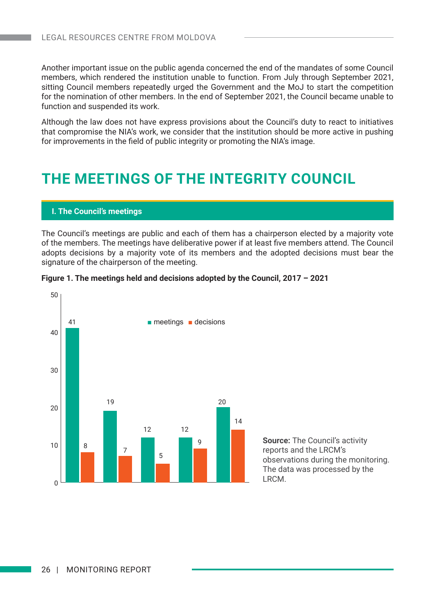<span id="page-25-0"></span>Another important issue on the public agenda concerned the end of the mandates of some Council members, which rendered the institution unable to function. From July through September 2021, sitting Council members repeatedly urged the Government and the MoJ to start the competition for the nomination of other members. In the end of September 2021, the Council became unable to function and suspended its work.

Although the law does not have express provisions about the Council's duty to react to initiatives that compromise the NIA's work, we consider that the institution should be more active in pushing for improvements in the field of public integrity or promoting the NIA's image.

# **THE MEETINGS OF THE INTEGRITY COUNCIL**

#### **I. The Council's meetings**

The Council's meetings are public and each of them has a chairperson elected by a majority vote of the members. The meetings have deliberative power if at least five members attend. The Council adopts decisions by a majority vote of its members and the adopted decisions must bear the signature of the chairperson of the meeting.





**Source:** The Council's activity reports and the LRCM's observations during the monitoring. The data was processed by the LRCM.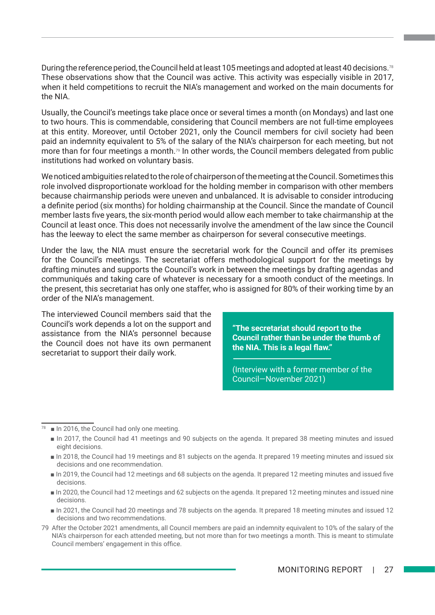During the reference period, the Council held at least 105 meetings and adopted at least 40 decisions.78 These observations show that the Council was active. This activity was especially visible in 2017, when it held competitions to recruit the NIA's management and worked on the main documents for the NIA.

Usually, the Council's meetings take place once or several times a month (on Mondays) and last one to two hours. This is commendable, considering that Council members are not full-time employees at this entity. Moreover, until October 2021, only the Council members for civil society had been paid an indemnity equivalent to 5% of the salary of the NIA's chairperson for each meeting, but not more than for four meetings a month.<sup>79</sup> In other words, the Council members delegated from public institutions had worked on voluntary basis.

We noticed ambiguities related to the role of chairperson of the meeting at the Council. Sometimes this role involved disproportionate workload for the holding member in comparison with other members because chairmanship periods were uneven and unbalanced. It is advisable to consider introducing a definite period (six months) for holding chairmanship at the Council. Since the mandate of Council member lasts five years, the six-month period would allow each member to take chairmanship at the Council at least once. This does not necessarily involve the amendment of the law since the Council has the leeway to elect the same member as chairperson for several consecutive meetings.

Under the law, the NIA must ensure the secretarial work for the Council and offer its premises for the Council's meetings. The secretariat offers methodological support for the meetings by drafting minutes and supports the Council's work in between the meetings by drafting agendas and communiqués and taking care of whatever is necessary for a smooth conduct of the meetings. In the present, this secretariat has only one staffer, who is assigned for 80% of their working time by an order of the NIA's management.

The interviewed Council members said that the Council's work depends a lot on the support and assistance from the NIA's personnel because the Council does not have its own permanent secretariat to support their daily work.

**"The secretariat should report to the Council rather than be under the thumb of the NIA. This is a legal flaw."**

(Interview with a former member of the Council—November 2021)

 $78$  = In 2016, the Council had only one meeting.

- In 2017, the Council had 41 meetings and 90 subjects on the agenda. It prepared 38 meeting minutes and issued eight decisions.
- In 2018, the Council had 19 meetings and 81 subjects on the agenda. It prepared 19 meeting minutes and issued six decisions and one recommendation.
- In 2019, the Council had 12 meetings and 68 subjects on the agenda. It prepared 12 meeting minutes and issued five decisions.
- In 2020, the Council had 12 meetings and 62 subjects on the agenda. It prepared 12 meeting minutes and issued nine decisions.
- In 2021, the Council had 20 meetings and 78 subjects on the agenda. It prepared 18 meeting minutes and issued 12 decisions and two recommendations.
- 79 After the October 2021 amendments, all Council members are paid an indemnity equivalent to 10% of the salary of the NIA's chairperson for each attended meeting, but not more than for two meetings a month. This is meant to stimulate Council members' engagement in this office.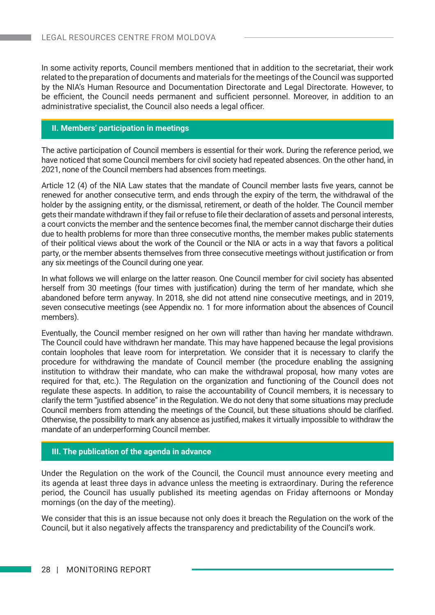In some activity reports, Council members mentioned that in addition to the secretariat, their work related to the preparation of documents and materials for the meetings of the Council was supported by the NIA's Human Resource and Documentation Directorate and Legal Directorate. However, to be efficient, the Council needs permanent and sufficient personnel. Moreover, in addition to an administrative specialist, the Council also needs a legal officer.

### **II. Members' participation in meetings**

The active participation of Council members is essential for their work. During the reference period, we have noticed that some Council members for civil society had repeated absences. On the other hand, in 2021, none of the Council members had absences from meetings.

Article 12 (4) of the NIA Law states that the mandate of Council member lasts five years, cannot be renewed for another consecutive term, and ends through the expiry of the term, the withdrawal of the holder by the assigning entity, or the dismissal, retirement, or death of the holder. The Council member gets their mandate withdrawn if they fail or refuse to file their declaration of assets and personal interests, a court convicts the member and the sentence becomes final, the member cannot discharge their duties due to health problems for more than three consecutive months, the member makes public statements of their political views about the work of the Council or the NIA or acts in a way that favors a political party, or the member absents themselves from three consecutive meetings without justification or from any six meetings of the Council during one year.

In what follows we will enlarge on the latter reason. One Council member for civil society has absented herself from 30 meetings (four times with justification) during the term of her mandate, which she abandoned before term anyway. In 2018, she did not attend nine consecutive meetings, and in 2019, seven consecutive meetings (see Appendix no. 1 for more information about the absences of Council members).

Eventually, the Council member resigned on her own will rather than having her mandate withdrawn. The Council could have withdrawn her mandate. This may have happened because the legal provisions contain loopholes that leave room for interpretation. We consider that it is necessary to clarify the procedure for withdrawing the mandate of Council member (the procedure enabling the assigning institution to withdraw their mandate, who can make the withdrawal proposal, how many votes are required for that, etc.). The Regulation on the organization and functioning of the Council does not regulate these aspects. In addition, to raise the accountability of Council members, it is necessary to clarify the term "justified absence" in the Regulation. We do not deny that some situations may preclude Council members from attending the meetings of the Council, but these situations should be clarified. Otherwise, the possibility to mark any absence as justified, makes it virtually impossible to withdraw the mandate of an underperforming Council member.

#### **III. The publication of the agenda in advance**

Under the Regulation on the work of the Council, the Council must announce every meeting and its agenda at least three days in advance unless the meeting is extraordinary. During the reference period, the Council has usually published its meeting agendas on Friday afternoons or Monday mornings (on the day of the meeting).

We consider that this is an issue because not only does it breach the Regulation on the work of the Council, but it also negatively affects the transparency and predictability of the Council's work.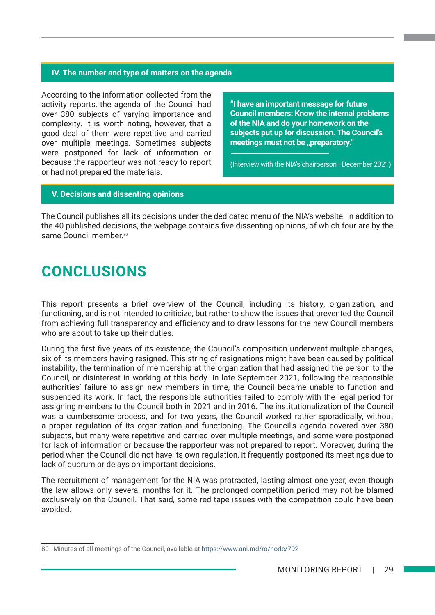### <span id="page-28-0"></span>**IV. The number and type of matters on the agenda**

According to the information collected from the activity reports, the agenda of the Council had over 380 subjects of varying importance and complexity. It is worth noting, however, that a good deal of them were repetitive and carried over multiple meetings. Sometimes subjects were postponed for lack of information or because the rapporteur was not ready to report or had not prepared the materials.

**"I have an important message for future Council members: Know the internal problems of the NIA and do your homework on the subjects put up for discussion. The Council's**  meetings must not be "preparatory."

(Interview with the NIA's chairperson—December 2021)

### **V. Decisions and dissenting opinions**

The Council publishes all its decisions under the dedicated menu of the NIA's website. In addition to the 40 published decisions, the webpage contains five dissenting opinions, of which four are by the same Council member.<sup>80</sup>

# **CONCLUSIONS**

This report presents a brief overview of the Council, including its history, organization, and functioning, and is not intended to criticize, but rather to show the issues that prevented the Council from achieving full transparency and efficiency and to draw lessons for the new Council members who are about to take up their duties.

During the first five years of its existence, the Council's composition underwent multiple changes, six of its members having resigned. This string of resignations might have been caused by political instability, the termination of membership at the organization that had assigned the person to the Council, or disinterest in working at this body. In late September 2021, following the responsible authorities' failure to assign new members in time, the Council became unable to function and suspended its work. In fact, the responsible authorities failed to comply with the legal period for assigning members to the Council both in 2021 and in 2016. The institutionalization of the Council was a cumbersome process, and for two years, the Council worked rather sporadically, without a proper regulation of its organization and functioning. The Council's agenda covered over 380 subjects, but many were repetitive and carried over multiple meetings, and some were postponed for lack of information or because the rapporteur was not prepared to report. Moreover, during the period when the Council did not have its own regulation, it frequently postponed its meetings due to lack of quorum or delays on important decisions.

The recruitment of management for the NIA was protracted, lasting almost one year, even though the law allows only several months for it. The prolonged competition period may not be blamed exclusively on the Council. That said, some red tape issues with the competition could have been avoided.

<sup>80</sup> Minutes of all meetings of the Council, available at<https://www.ani.md/ro/node/792>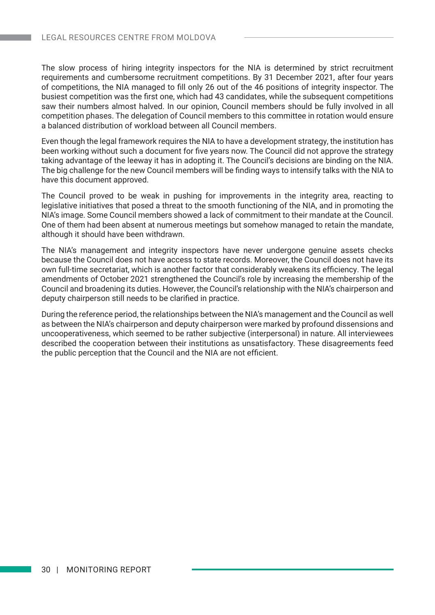The slow process of hiring integrity inspectors for the NIA is determined by strict recruitment requirements and cumbersome recruitment competitions. By 31 December 2021, after four years of competitions, the NIA managed to fill only 26 out of the 46 positions of integrity inspector. The busiest competition was the first one, which had 43 candidates, while the subsequent competitions saw their numbers almost halved. In our opinion, Council members should be fully involved in all competition phases. The delegation of Council members to this committee in rotation would ensure a balanced distribution of workload between all Council members.

Even though the legal framework requires the NIA to have a development strategy, the institution has been working without such a document for five years now. The Council did not approve the strategy taking advantage of the leeway it has in adopting it. The Council's decisions are binding on the NIA. The big challenge for the new Council members will be finding ways to intensify talks with the NIA to have this document approved.

The Council proved to be weak in pushing for improvements in the integrity area, reacting to legislative initiatives that posed a threat to the smooth functioning of the NIA, and in promoting the NIA's image. Some Council members showed a lack of commitment to their mandate at the Council. One of them had been absent at numerous meetings but somehow managed to retain the mandate, although it should have been withdrawn.

The NIA's management and integrity inspectors have never undergone genuine assets checks because the Council does not have access to state records. Moreover, the Council does not have its own full-time secretariat, which is another factor that considerably weakens its efficiency. The legal amendments of October 2021 strengthened the Council's role by increasing the membership of the Council and broadening its duties. However, the Council's relationship with the NIA's chairperson and deputy chairperson still needs to be clarified in practice.

During the reference period, the relationships between the NIA's management and the Council as well as between the NIA's chairperson and deputy chairperson were marked by profound dissensions and uncooperativeness, which seemed to be rather subjective (interpersonal) in nature. All interviewees described the cooperation between their institutions as unsatisfactory. These disagreements feed the public perception that the Council and the NIA are not efficient.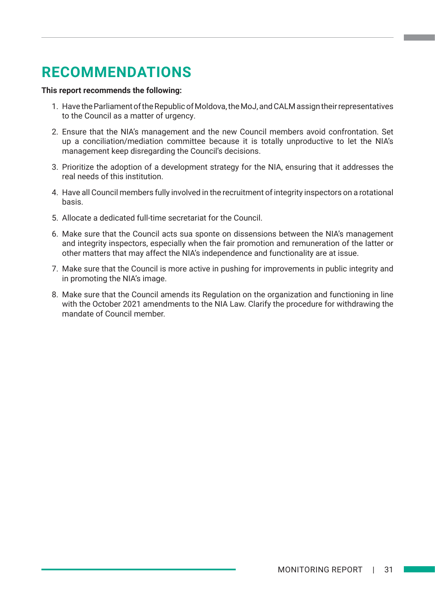# **RECOMMENDATIONS**

### **This report recommends the following:**

- 1. Have the Parliament of the Republic of Moldova, the MoJ, and CALM assign their representatives to the Council as a matter of urgency.
- 2. Ensure that the NIA's management and the new Council members avoid confrontation. Set up a conciliation/mediation committee because it is totally unproductive to let the NIA's management keep disregarding the Council's decisions.
- 3. Prioritize the adoption of a development strategy for the NIA, ensuring that it addresses the real needs of this institution.
- 4. Have all Council members fully involved in the recruitment of integrity inspectors on a rotational basis.
- 5. Allocate a dedicated full-time secretariat for the Council.
- 6. Make sure that the Council acts sua sponte on dissensions between the NIA's management and integrity inspectors, especially when the fair promotion and remuneration of the latter or other matters that may affect the NIA's independence and functionality are at issue.
- 7. Make sure that the Council is more active in pushing for improvements in public integrity and in promoting the NIA's image.
- 8. Make sure that the Council amends its Regulation on the organization and functioning in line with the October 2021 amendments to the NIA Law. Clarify the procedure for withdrawing the mandate of Council member.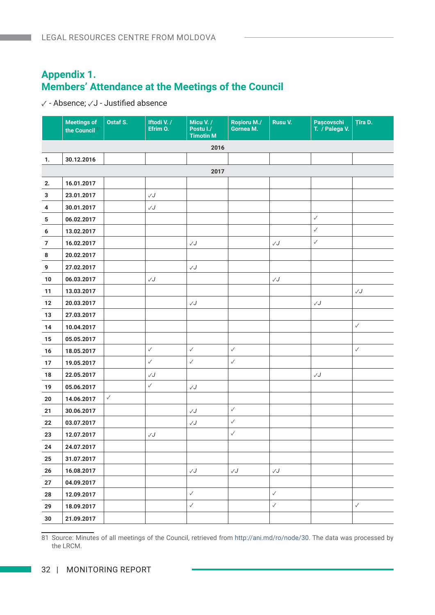# <span id="page-31-0"></span>**Appendix 1. Members' Attendance at the Meetings of the Council**

**✓** - Absence; **✓**J - Justified absence

|                  | <b>Meetings of</b><br>the Council <sup>81</sup> | Ostaf S.     | Iftodi V. /<br>Efrim O. | Micu V. /<br>Postu I./<br><b>Timotin M</b> | Roșioru M./<br>Gornea M. | Rusu V.      | <b>Pașcovschi</b><br>T. / Palega V. | <b>Tîra D.</b> |
|------------------|-------------------------------------------------|--------------|-------------------------|--------------------------------------------|--------------------------|--------------|-------------------------------------|----------------|
|                  |                                                 |              |                         | 2016                                       |                          |              |                                     |                |
| 1.               | 30.12.2016                                      |              |                         |                                            |                          |              |                                     |                |
|                  |                                                 |              |                         | 2017                                       |                          |              |                                     |                |
| 2.               | 16.01.2017                                      |              |                         |                                            |                          |              |                                     |                |
| $\mathbf{3}$     | 23.01.2017                                      |              | $\cal{J}$               |                                            |                          |              |                                     |                |
| 4                | 30.01.2017                                      |              | $\sqrt{J}$              |                                            |                          |              |                                     |                |
| ${\bf 5}$        | 06.02.2017                                      |              |                         |                                            |                          |              | $\checkmark$                        |                |
| $\bf 6$          | 13.02.2017                                      |              |                         |                                            |                          |              | $\checkmark$                        |                |
| $\overline{7}$   | 16.02.2017                                      |              |                         | $\cal{J}$                                  |                          | $\cal{J}$    | $\checkmark$                        |                |
| $\pmb{8}$        | 20.02.2017                                      |              |                         |                                            |                          |              |                                     |                |
| $\boldsymbol{9}$ | 27.02.2017                                      |              |                         | $\cal{J}$                                  |                          |              |                                     |                |
| $10$             | 06.03.2017                                      |              | $\cal{N}$               |                                            |                          | $\sqrt{J}$   |                                     |                |
| 11               | 13.03.2017                                      |              |                         |                                            |                          |              |                                     | $\cal{J}$      |
| $12$             | 20.03.2017                                      |              |                         | $\cal{J}$                                  |                          |              | $\sqrt{J}$                          |                |
| 13               | 27.03.2017                                      |              |                         |                                            |                          |              |                                     |                |
| 14               | 10.04.2017                                      |              |                         |                                            |                          |              |                                     | $\checkmark$   |
| 15               | 05.05.2017                                      |              |                         |                                            |                          |              |                                     |                |
| 16               | 18.05.2017                                      |              | $\checkmark$            | $\checkmark$                               | $\checkmark$             |              |                                     | $\checkmark$   |
| 17               | 19.05.2017                                      |              | $\checkmark$            | $\checkmark$                               | $\checkmark$             |              |                                     |                |
| 18               | 22.05.2017                                      |              | $\sqrt{J}$              |                                            |                          |              | $\cal{J}$                           |                |
| 19               | 05.06.2017                                      |              | $\checkmark$            | $\sqrt{J}$                                 |                          |              |                                     |                |
| ${\bf 20}$       | 14.06.2017                                      | $\checkmark$ |                         |                                            |                          |              |                                     |                |
| 21               | 30.06.2017                                      |              |                         | $\cal{J}$                                  | $\checkmark$             |              |                                     |                |
| ${\bf 22}$       | 03.07.2017                                      |              |                         | $\cal{J}$                                  | $\checkmark$             |              |                                     |                |
| 23               | 12.07.2017                                      |              | $\cal{J}$               |                                            | $\checkmark$             |              |                                     |                |
| 24               | 24.07.2017                                      |              |                         |                                            |                          |              |                                     |                |
| 25               | 31.07.2017                                      |              |                         |                                            |                          |              |                                     |                |
| 26               | 16.08.2017                                      |              |                         | $\sqrt{J}$                                 | $\sqrt{J}$               | $\sqrt{J}$   |                                     |                |
| 27               | 04.09.2017                                      |              |                         |                                            |                          |              |                                     |                |
| 28               | 12.09.2017                                      |              |                         | $\checkmark$                               |                          | $\checkmark$ |                                     |                |
| 29               | 18.09.2017                                      |              |                         | $\checkmark$                               |                          | $\checkmark$ |                                     | $\checkmark$   |
| 30               | 21.09.2017                                      |              |                         |                                            |                          |              |                                     |                |

 Source: Minutes of all meetings of the Council, retrieved from [http://ani.md/ro/node/30.](http://ani.md/ro/node/30) The data was processed by the LRCM.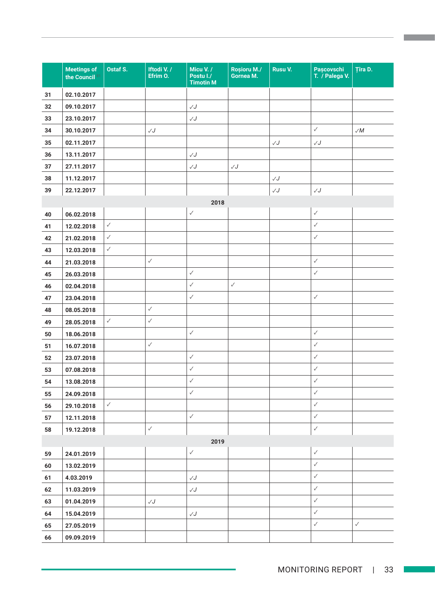|    | <b>Meetings of</b><br>the Council <sup>81</sup> | Ostaf S.     | Iftodi V. /<br>Efrim O. | Micu V. /<br>Postu I./<br><b>Timotin M</b> | Roșioru M./<br>Gornea M. | Rusu V.    | Pașcovschi<br>T. / Palega V. | <b>Tîra D.</b> |
|----|-------------------------------------------------|--------------|-------------------------|--------------------------------------------|--------------------------|------------|------------------------------|----------------|
| 31 | 02.10.2017                                      |              |                         |                                            |                          |            |                              |                |
| 32 | 09.10.2017                                      |              |                         | $\cal{J}$                                  |                          |            |                              |                |
| 33 | 23.10.2017                                      |              |                         | $\cal{J}$                                  |                          |            |                              |                |
| 34 | 30.10.2017                                      |              | $\cal{J}$               |                                            |                          |            | $\checkmark$                 | $\cal{N}$      |
| 35 | 02.11.2017                                      |              |                         |                                            |                          | $\sqrt{J}$ | $\sqrt{\mathsf{J}}$          |                |
| 36 | 13.11.2017                                      |              |                         | $\sqrt{J}$                                 |                          |            |                              |                |
| 37 | 27.11.2017                                      |              |                         | $\diagup \mathsf{J}$                       | $\sqrt{J}$               |            |                              |                |
| 38 | 11.12.2017                                      |              |                         |                                            |                          | $\sqrt{J}$ |                              |                |
| 39 | 22.12.2017                                      |              |                         |                                            |                          | $\cal{J}$  | $\cal{J}$                    |                |
|    |                                                 |              |                         | 2018                                       |                          |            |                              |                |
| 40 | 06.02.2018                                      |              |                         | $\checkmark$                               |                          |            | $\checkmark$                 |                |
| 41 | 12.02.2018                                      | $\checkmark$ |                         |                                            |                          |            | $\checkmark$                 |                |
| 42 | 21.02.2018                                      | $\checkmark$ |                         |                                            |                          |            | $\checkmark$                 |                |
| 43 | 12.03.2018                                      | $\checkmark$ |                         |                                            |                          |            |                              |                |
| 44 | 21.03.2018                                      |              | $\checkmark$            |                                            |                          |            | $\checkmark$                 |                |
| 45 | 26.03.2018                                      |              |                         | $\checkmark$                               |                          |            | $\checkmark$                 |                |
| 46 | 02.04.2018                                      |              |                         | $\checkmark$                               | $\checkmark$             |            |                              |                |
| 47 | 23.04.2018                                      |              |                         | $\checkmark$                               |                          |            | $\checkmark$                 |                |
| 48 | 08.05.2018                                      |              | $\checkmark$            |                                            |                          |            |                              |                |
| 49 | 28.05.2018                                      | $\checkmark$ | $\checkmark$            |                                            |                          |            |                              |                |
| 50 | 18.06.2018                                      |              |                         | $\checkmark$                               |                          |            | $\checkmark$                 |                |
| 51 | 16.07.2018                                      |              | $\checkmark$            |                                            |                          |            | $\checkmark$                 |                |
| 52 | 23.07.2018                                      |              |                         | $\checkmark$                               |                          |            | $\checkmark$                 |                |
| 53 | 07.08.2018                                      |              |                         | $\checkmark$                               |                          |            | $\checkmark$                 |                |
| 54 | 13.08.2018                                      |              |                         | $\checkmark$                               |                          |            | $\checkmark$                 |                |
| 55 | 24.09.2018                                      |              |                         | $\checkmark$                               |                          |            | $\checkmark$                 |                |
| 56 | 29.10.2018                                      | $\checkmark$ |                         |                                            |                          |            | $\checkmark$                 |                |
| 57 | 12.11.2018                                      |              |                         | $\checkmark$                               |                          |            | $\checkmark$                 |                |
| 58 | 19.12.2018                                      |              | $\checkmark$            |                                            |                          |            | $\checkmark$                 |                |
|    |                                                 |              |                         | 2019                                       |                          |            |                              |                |
| 59 | 24.01.2019                                      |              |                         | $\checkmark$                               |                          |            | $\checkmark$                 |                |
| 60 | 13.02.2019                                      |              |                         |                                            |                          |            | $\checkmark$                 |                |
| 61 | 4.03.2019                                       |              |                         | $\sqrt{J}$                                 |                          |            | $\checkmark$                 |                |
| 62 | 11.03.2019                                      |              |                         | $\sqrt{J}$                                 |                          |            | $\checkmark$                 |                |
| 63 | 01.04.2019                                      |              | $\sqrt{J}$              |                                            |                          |            | $\checkmark$                 |                |
| 64 | 15.04.2019                                      |              |                         | $\cal{J}$                                  |                          |            | $\checkmark$                 |                |
| 65 | 27.05.2019                                      |              |                         |                                            |                          |            | $\checkmark$                 | $\checkmark$   |
| 66 | 09.09.2019                                      |              |                         |                                            |                          |            |                              |                |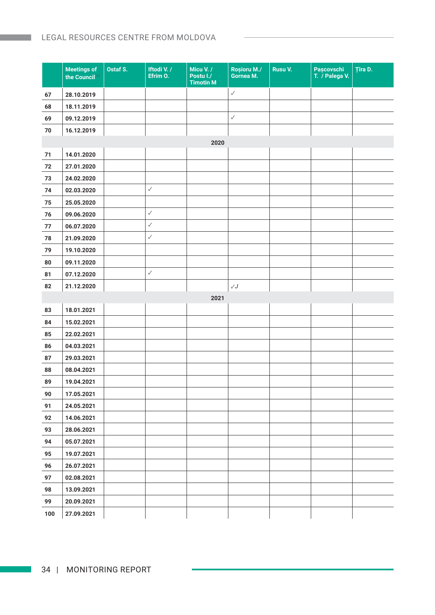|            | <b>Meetings of</b><br>the Council <sup>81</sup> | Ostaf S. | Iftodi V. /<br>Efrim O. | Micu V. /<br>Postu I./<br><b>Timotin M</b> | Roșioru M./<br>Gornea M. | Rusu V. | <b>Pașcovschi</b><br>T. / Palega V. | <b>Țîra D.</b> |
|------------|-------------------------------------------------|----------|-------------------------|--------------------------------------------|--------------------------|---------|-------------------------------------|----------------|
| 67         | 28.10.2019                                      |          |                         |                                            | $\checkmark$             |         |                                     |                |
| 68         | 18.11.2019                                      |          |                         |                                            |                          |         |                                     |                |
| 69         | 09.12.2019                                      |          |                         |                                            | $\checkmark$             |         |                                     |                |
| 70         | 16.12.2019                                      |          |                         |                                            |                          |         |                                     |                |
|            |                                                 |          |                         | 2020                                       |                          |         |                                     |                |
| $71$       | 14.01.2020                                      |          |                         |                                            |                          |         |                                     |                |
| ${\bf 72}$ | 27.01.2020                                      |          |                         |                                            |                          |         |                                     |                |
| 73         | 24.02.2020                                      |          |                         |                                            |                          |         |                                     |                |
| 74         | 02.03.2020                                      |          | $\checkmark$            |                                            |                          |         |                                     |                |
| 75         | 25.05.2020                                      |          |                         |                                            |                          |         |                                     |                |
| 76         | 09.06.2020                                      |          | $\checkmark$            |                                            |                          |         |                                     |                |
| 77         | 06.07.2020                                      |          | $\checkmark$            |                                            |                          |         |                                     |                |
| 78         | 21.09.2020                                      |          | $\checkmark$            |                                            |                          |         |                                     |                |
| 79         | 19.10.2020                                      |          |                         |                                            |                          |         |                                     |                |
| 80         | 09.11.2020                                      |          |                         |                                            |                          |         |                                     |                |
| 81         | 07.12.2020                                      |          | $\checkmark$            |                                            |                          |         |                                     |                |
| 82         | 21.12.2020                                      |          |                         |                                            | $\cal{J}$                |         |                                     |                |
|            |                                                 |          |                         | 2021                                       |                          |         |                                     |                |
| 83         | 18.01.2021                                      |          |                         |                                            |                          |         |                                     |                |
| 84         | 15.02.2021                                      |          |                         |                                            |                          |         |                                     |                |
| 85         | 22.02.2021                                      |          |                         |                                            |                          |         |                                     |                |
| 86         | 04.03.2021                                      |          |                         |                                            |                          |         |                                     |                |
| 87         | 29.03.2021                                      |          |                         |                                            |                          |         |                                     |                |
| 88         | 08.04.2021                                      |          |                         |                                            |                          |         |                                     |                |
| 89         | 19.04.2021                                      |          |                         |                                            |                          |         |                                     |                |
| 90         | 17.05.2021                                      |          |                         |                                            |                          |         |                                     |                |
| 91         | 24.05.2021                                      |          |                         |                                            |                          |         |                                     |                |
| 92         | 14.06.2021                                      |          |                         |                                            |                          |         |                                     |                |
| 93         | 28.06.2021                                      |          |                         |                                            |                          |         |                                     |                |
| 94         | 05.07.2021                                      |          |                         |                                            |                          |         |                                     |                |
| 95         | 19.07.2021                                      |          |                         |                                            |                          |         |                                     |                |
| 96         | 26.07.2021                                      |          |                         |                                            |                          |         |                                     |                |
| 97         | 02.08.2021                                      |          |                         |                                            |                          |         |                                     |                |
| 98         | 13.09.2021                                      |          |                         |                                            |                          |         |                                     |                |
| 99         | 20.09.2021                                      |          |                         |                                            |                          |         |                                     |                |
| 100        | 27.09.2021                                      |          |                         |                                            |                          |         |                                     |                |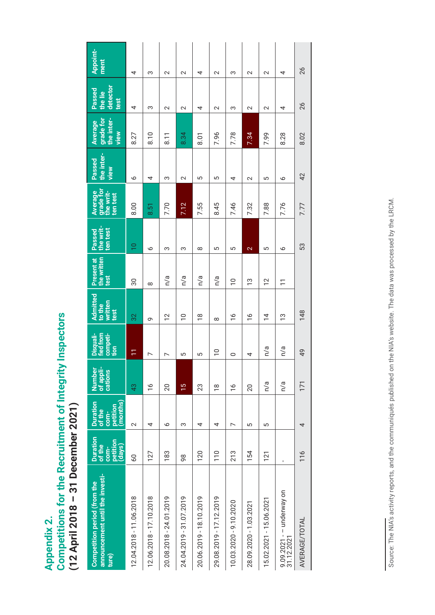| <b>Speciors</b>                              |                                   |
|----------------------------------------------|-----------------------------------|
| É                                            |                                   |
| ompetitions for the Recruitment of Integrity | 12 April 2018 - 31 December 2021) |
|                                              |                                   |
|                                              |                                   |
|                                              |                                   |

<span id="page-34-0"></span>

| announcement until the investi-<br>Competition period (from the<br>ture) | <b>Duration</b><br>petition<br>(days)<br>of the<br>com- | (months)<br><b>Duration</b><br>petition<br>of the<br>com- | Number<br>of appli-<br>of appli-<br>cations | fied from<br>competi-<br>tion<br>Disquali- | <b>Admitted</b><br>to the<br>written<br>test | the written<br>Present at<br>test | the writ-<br>ten test<br>Passed | <b>grade for</b><br><b>Average</b><br>the writ-<br>ten test | the inter-<br>Passed<br>view | grade for<br>the inter-<br>Average<br>view | detector<br>Passed<br>the lie<br>test | Appoint-<br>ment  |
|--------------------------------------------------------------------------|---------------------------------------------------------|-----------------------------------------------------------|---------------------------------------------|--------------------------------------------|----------------------------------------------|-----------------------------------|---------------------------------|-------------------------------------------------------------|------------------------------|--------------------------------------------|---------------------------------------|-------------------|
| 12.04.2018 - 11.06.2018                                                  | GO                                                      | 2                                                         | 43                                          | Ξ                                          | 32                                           | 30                                | $\frac{1}{2}$                   | 8.00                                                        | $\circ$                      | 8.27                                       | 4                                     | 4                 |
| 12.06.2018 - 17.10.2018                                                  | 127                                                     | 4                                                         | $\frac{6}{1}$                               | $\overline{ }$                             | Ò                                            | $\infty$                          | م                               | 8.51                                                        | 4                            | 8.10                                       | S                                     | S                 |
| 20.08.2018 - 24.01.2019                                                  | 183                                                     | $\circ$                                                   | 20                                          | $\overline{\phantom{0}}$                   | $\frac{2}{1}$                                | n/a                               | S                               | 7.70                                                        | S                            | $\overline{8.11}$                          | 2                                     | 2                 |
| 24.04.2019 - 31.07.2019                                                  | 98                                                      | ω                                                         | $\frac{5}{1}$                               | 5                                          | $\overline{C}$                               | n/a                               | ω                               | 7.12                                                        | $\mathbf{\Omega}$            | 8.34                                       | $\sim$                                | $\mathbf{\Omega}$ |
| 20.06.2019 - 18.10.2019                                                  | 120                                                     | 4                                                         | 23                                          | ပ                                          | $\frac{8}{1}$                                | n/a                               | $\infty$                        | 7.55                                                        | 5                            | 8.01                                       | 4                                     | 4                 |
| 29.08.2019 - 17.12.2019                                                  | $\frac{1}{10}$                                          | 4                                                         | $\frac{8}{1}$                               | $\supseteq$                                | $\infty$                                     | n/a                               | 5                               | 8.45                                                        | 5                            | 7.96                                       | $\sim$                                | $\sim$            |
| 10.03.2020 - 9.10.2020                                                   | 213                                                     | $\overline{ }$                                            | $\frac{6}{1}$                               | $\circ$                                    | $\frac{6}{1}$                                | $\supseteq$                       | 5                               | 7.46                                                        | 4                            | 7.78                                       | S                                     | S                 |
| 28.09.2020 - 1.03.2021                                                   | 154                                                     | 5                                                         | 20                                          | 4                                          | $\frac{6}{1}$                                | $\frac{3}{2}$                     | $\mathbf{\Omega}$               | 7.32                                                        | $\sim$                       | 7.34                                       | $\sim$                                | $\sim$            |
| 15.02.2021 - 15.06.2021                                                  | 121                                                     | 5                                                         | n/a                                         | n/a                                        | $\overline{4}$                               | $\frac{2}{1}$                     | 5                               | 7.88                                                        | 5                            | 7.99                                       | $\sim$                                | 2                 |
| 9.09.2021 - underway on<br>31.12.2021                                    | ı                                                       |                                                           | n/a                                         | n/a                                        | $\frac{3}{2}$                                | $\overline{a}$                    | $\circ$                         | 7.76                                                        | م                            | 8.28                                       | 4                                     | 4                 |
| AVERAGE/TOTAL                                                            | 116                                                     | 4                                                         | 171                                         | 49                                         | 148                                          |                                   | 53                              | 7.77                                                        | 42                           | 8.02                                       | 26                                    | 26                |

Source: The NIA's activity reports, and the communiqués published on the NIA's website. The data was processed by the LRCM. Source: The NIA's activity reports, and the communiqués published on the NIA's website. The data was processed by the LRCM.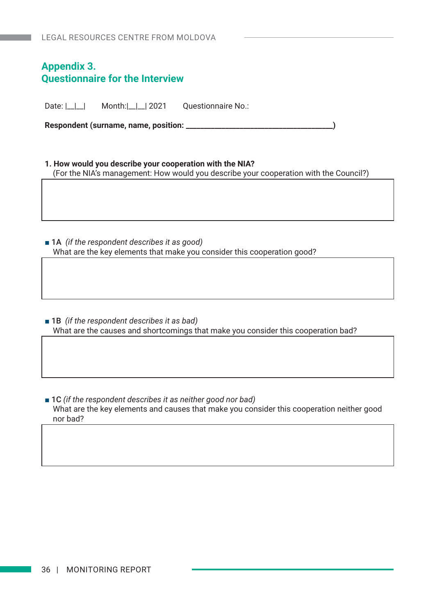# <span id="page-35-0"></span>**Appendix 3. Questionnaire for the Interview**

Date:  $\lfloor \_ \rfloor$  Month: $\lfloor \_ \rfloor$  2021 Questionnaire No.:

**Respondent (surname, name, position: \_\_\_\_\_\_\_\_\_\_\_\_\_\_\_\_\_\_\_\_\_\_\_\_\_\_\_\_\_\_\_\_\_\_\_\_\_\_\_\_\_)**

- **1. How would you describe your cooperation with the NIA?**  (For the NIA's management: How would you describe your cooperation with the Council?)
- 1A *(if the respondent describes it as good)* What are the key elements that make you consider this cooperation good?
- 1B *(if the respondent describes it as bad)* What are the causes and shortcomings that make you consider this cooperation bad?
- 1C *(if the respondent describes it as neither good nor bad)* What are the key elements and causes that make you consider this cooperation neither good nor bad?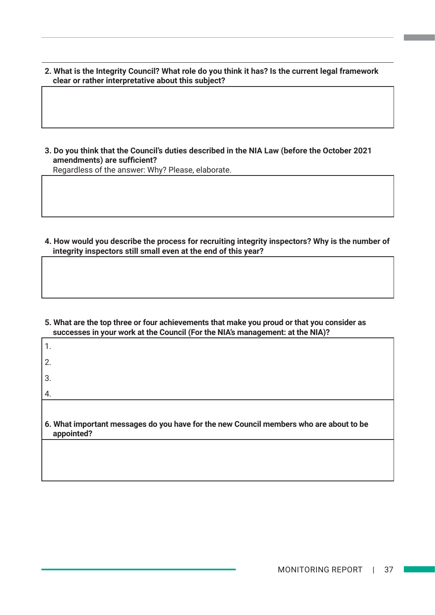- **2. What is the Integrity Council? What role do you think it has? Is the current legal framework clear or rather interpretative about this subject?**
- **3. Do you think that the Council's duties described in the NIA Law (before the October 2021 amendments) are sufficient?**

Regardless of the answer: Why? Please, elaborate.

- **4. How would you describe the process for recruiting integrity inspectors? Why is the number of integrity inspectors still small even at the end of this year?**
- **5. What are the top three or four achievements that make you proud or that you consider as successes in your work at the Council (For the NIA's management: at the NIA)?**

| appointed?                                                                             |
|----------------------------------------------------------------------------------------|
| 6. What important messages do you have for the new Council members who are about to be |
| 4.                                                                                     |
| 3.                                                                                     |
| 2.                                                                                     |
| ' 1.                                                                                   |